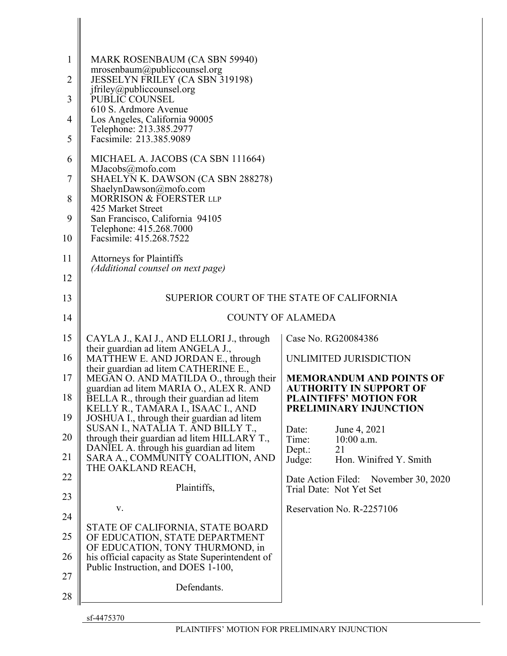| $\mathbf{1}$ |                                                                                      |                                                                 |
|--------------|--------------------------------------------------------------------------------------|-----------------------------------------------------------------|
|              | MARK ROSENBAUM (CA SBN 59940)<br>mrosenbaum@publiccounsel.org                        |                                                                 |
| 2            | JESSELYN FRILEY (CA SBN 319198)<br>jfriley@publiccounsel.org                         |                                                                 |
| 3            | PUBLIC COUNSEL<br>610 S. Ardmore Avenue                                              |                                                                 |
| 4            | Los Angeles, California 90005<br>Telephone: 213.385.2977                             |                                                                 |
| 5            | Facsimile: 213.385.9089                                                              |                                                                 |
| 6            | MICHAEL A. JACOBS (CA SBN 111664)<br>MJacobs@mofo.com                                |                                                                 |
| 7            | SHAELYN K. DAWSON (CA SBN 288278)                                                    |                                                                 |
| 8            | ShaelynDawson@mofo.com<br><b>MORRISON &amp; FOERSTER LLP</b><br>425 Market Street    |                                                                 |
| 9            | San Francisco, California 94105                                                      |                                                                 |
| 10           | Telephone: 415.268.7000<br>Facsimile: 415.268.7522                                   |                                                                 |
| 11           | <b>Attorneys for Plaintiffs</b><br>(Additional counsel on next page)                 |                                                                 |
| 12           |                                                                                      |                                                                 |
| 13           |                                                                                      | SUPERIOR COURT OF THE STATE OF CALIFORNIA                       |
| 14           |                                                                                      | <b>COUNTY OF ALAMEDA</b>                                        |
| 15           | CAYLA J., KAI J., AND ELLORI J., through<br>their guardian ad litem ANGELA J.,       | Case No. RG20084386                                             |
| 16           | MATTHEW E. AND JORDAN E., through                                                    | UNLIMITED JURISDICTION                                          |
| 17           | their guardian ad litem CATHERINE E.,<br>MEGAN O. AND MATILDA O., through their      |                                                                 |
|              |                                                                                      | <b>MEMORANDUM AND POINTS OF</b>                                 |
| 18           | guardian ad litem MARIA O., ALEX R. AND<br>BELLA R., through their guardian ad litem | <b>AUTHORITY IN SUPPORT OF</b><br><b>PLAINTIFFS' MOTION FOR</b> |
| 19           | KELLY R., TAMARA I., ISAAC I., AND<br>JOSHUA I., through their guardian ad litem     | PRELIMINARY INJUNCTION                                          |
| 20           | SUSAN I., NATALIA T. AND BILLY T.,<br>through their guardian ad litem HILLARY T.,    | June 4, 2021<br>Date:<br>Time:<br>$10:00$ a.m.                  |
| 21           | DANIEL A. through his guardian ad litem<br>SARA A., COMMUNITY COALITION, AND         | 21<br>Dept.:<br>Hon. Winifred Y. Smith<br>Judge:                |
| 22           | THE OAKLAND REACH,                                                                   | Date Action Filed: November 30, 2020                            |
| 23           | Plaintiffs,                                                                          | Trial Date: Not Yet Set                                         |
| 24           | V.                                                                                   | Reservation No. R-2257106                                       |
| 25           | STATE OF CALIFORNIA, STATE BOARD<br>OF EDUCATION, STATE DEPARTMENT                   |                                                                 |
| 26           | OF EDUCATION, TONY THURMOND, in<br>his official capacity as State Superintendent of  |                                                                 |
| 27           | Public Instruction, and DOES 1-100,<br>Defendants.                                   |                                                                 |

sf-4475370

 $\begin{array}{c} \hline \end{array}$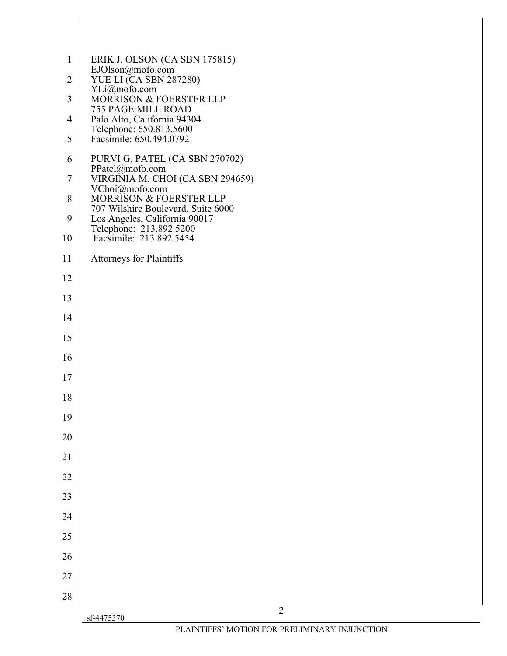| YLi@mofo.com<br>$\overline{\mathbf{3}}$<br><b>MORRISON &amp; FOERSTER LLP</b><br>755 PAGE MILL ROAD<br>Palo Alto, California 94304<br>4<br>Telephone: 650.813.5600<br>5<br>Facsimile: 650.494.0792<br>PURVI G. PATEL (CA SBN 270702)<br>6<br>PPatel@mofo.com<br>VIRGINIA M. CHOI (CA SBN 294659)<br>$\boldsymbol{7}$<br>VChoi@mofo.com<br>$\,$ $\,$<br>MORRISON & FOERSTER LLP<br>707 Wilshire Boulevard, Suite 6000<br>9<br>Los Angeles, California 90017<br>Telephone: 213.892.5200<br>Facsimile: 213.892.5454<br>10<br>11<br><b>Attorneys for Plaintiffs</b><br>12<br>13<br>14<br>15<br>16<br>17<br>18<br>19<br>20<br>21<br>22<br>23<br>24<br>25<br>26<br>27<br>28<br>$\overline{2}$<br>sf-4475370 | $\mathbf{1}$   | ERIK J. OLSON (CA SBN 175815)<br>EJOlson@mofo.com |
|-------------------------------------------------------------------------------------------------------------------------------------------------------------------------------------------------------------------------------------------------------------------------------------------------------------------------------------------------------------------------------------------------------------------------------------------------------------------------------------------------------------------------------------------------------------------------------------------------------------------------------------------------------------------------------------------------------|----------------|---------------------------------------------------|
|                                                                                                                                                                                                                                                                                                                                                                                                                                                                                                                                                                                                                                                                                                       | $\overline{2}$ | <b>YUE LI (CA SBN 287280)</b>                     |
|                                                                                                                                                                                                                                                                                                                                                                                                                                                                                                                                                                                                                                                                                                       |                |                                                   |
|                                                                                                                                                                                                                                                                                                                                                                                                                                                                                                                                                                                                                                                                                                       |                |                                                   |
|                                                                                                                                                                                                                                                                                                                                                                                                                                                                                                                                                                                                                                                                                                       |                |                                                   |
|                                                                                                                                                                                                                                                                                                                                                                                                                                                                                                                                                                                                                                                                                                       |                |                                                   |
|                                                                                                                                                                                                                                                                                                                                                                                                                                                                                                                                                                                                                                                                                                       |                |                                                   |
|                                                                                                                                                                                                                                                                                                                                                                                                                                                                                                                                                                                                                                                                                                       |                |                                                   |
|                                                                                                                                                                                                                                                                                                                                                                                                                                                                                                                                                                                                                                                                                                       |                |                                                   |
|                                                                                                                                                                                                                                                                                                                                                                                                                                                                                                                                                                                                                                                                                                       |                |                                                   |
|                                                                                                                                                                                                                                                                                                                                                                                                                                                                                                                                                                                                                                                                                                       |                |                                                   |
|                                                                                                                                                                                                                                                                                                                                                                                                                                                                                                                                                                                                                                                                                                       |                |                                                   |
|                                                                                                                                                                                                                                                                                                                                                                                                                                                                                                                                                                                                                                                                                                       |                |                                                   |
|                                                                                                                                                                                                                                                                                                                                                                                                                                                                                                                                                                                                                                                                                                       |                |                                                   |
|                                                                                                                                                                                                                                                                                                                                                                                                                                                                                                                                                                                                                                                                                                       |                |                                                   |
|                                                                                                                                                                                                                                                                                                                                                                                                                                                                                                                                                                                                                                                                                                       |                |                                                   |
|                                                                                                                                                                                                                                                                                                                                                                                                                                                                                                                                                                                                                                                                                                       |                |                                                   |
|                                                                                                                                                                                                                                                                                                                                                                                                                                                                                                                                                                                                                                                                                                       |                |                                                   |
|                                                                                                                                                                                                                                                                                                                                                                                                                                                                                                                                                                                                                                                                                                       |                |                                                   |
|                                                                                                                                                                                                                                                                                                                                                                                                                                                                                                                                                                                                                                                                                                       |                |                                                   |
|                                                                                                                                                                                                                                                                                                                                                                                                                                                                                                                                                                                                                                                                                                       |                |                                                   |
|                                                                                                                                                                                                                                                                                                                                                                                                                                                                                                                                                                                                                                                                                                       |                |                                                   |
|                                                                                                                                                                                                                                                                                                                                                                                                                                                                                                                                                                                                                                                                                                       |                |                                                   |
|                                                                                                                                                                                                                                                                                                                                                                                                                                                                                                                                                                                                                                                                                                       |                |                                                   |
|                                                                                                                                                                                                                                                                                                                                                                                                                                                                                                                                                                                                                                                                                                       |                |                                                   |
|                                                                                                                                                                                                                                                                                                                                                                                                                                                                                                                                                                                                                                                                                                       |                |                                                   |
|                                                                                                                                                                                                                                                                                                                                                                                                                                                                                                                                                                                                                                                                                                       |                |                                                   |
|                                                                                                                                                                                                                                                                                                                                                                                                                                                                                                                                                                                                                                                                                                       |                |                                                   |
|                                                                                                                                                                                                                                                                                                                                                                                                                                                                                                                                                                                                                                                                                                       |                | PLAINTIFFS' MOTION FOR PRELIMINARY INJUNCTION     |

 $\begin{array}{c} \hline \end{array}$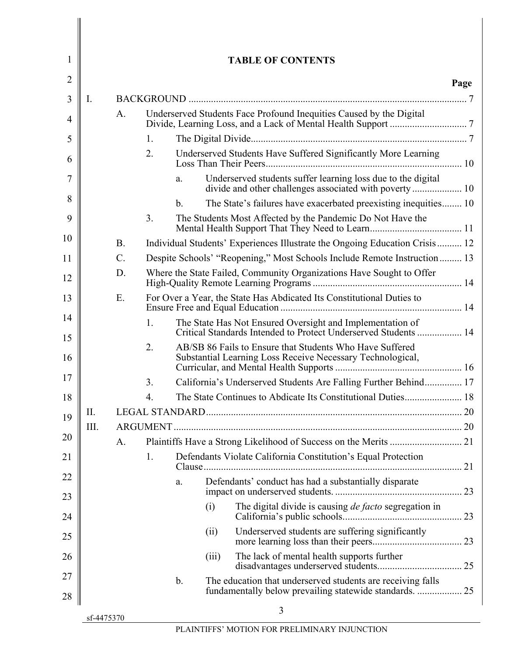| 2        |    |           |    |                |       |                                                                                                                              | Page |
|----------|----|-----------|----|----------------|-------|------------------------------------------------------------------------------------------------------------------------------|------|
| 3        | Ι. |           |    |                |       |                                                                                                                              |      |
| 4        |    | A.        |    |                |       | Underserved Students Face Profound Inequities Caused by the Digital                                                          |      |
| 5        |    |           | 1. |                |       |                                                                                                                              |      |
| 6        |    |           | 2. |                |       | Underserved Students Have Suffered Significantly More Learning                                                               |      |
| 7        |    |           |    | a.             |       | Underserved students suffer learning loss due to the digital<br>divide and other challenges associated with poverty 10       |      |
| 8        |    |           |    | $\mathbf{b}$ . |       | The State's failures have exacerbated preexisting inequities 10                                                              |      |
| 9        |    |           | 3. |                |       | The Students Most Affected by the Pandemic Do Not Have the                                                                   |      |
| 10       |    | <b>B.</b> |    |                |       | Individual Students' Experiences Illustrate the Ongoing Education Crisis 12                                                  |      |
| 11       |    | C.        |    |                |       | Despite Schools' "Reopening," Most Schools Include Remote Instruction 13                                                     |      |
| 12       |    | D.        |    |                |       | Where the State Failed, Community Organizations Have Sought to Offer                                                         |      |
| 13       |    | Ε.        |    |                |       | For Over a Year, the State Has Abdicated Its Constitutional Duties to                                                        |      |
| 14<br>15 |    |           | 1. |                |       | The State Has Not Ensured Oversight and Implementation of<br>Critical Standards Intended to Protect Underserved Students  14 |      |
| 16       |    |           | 2. |                |       | AB/SB 86 Fails to Ensure that Students Who Have Suffered<br>Substantial Learning Loss Receive Necessary Technological,       |      |
| 17       |    |           | 3. |                |       | California's Underserved Students Are Falling Further Behind 17                                                              |      |
| 18       |    |           | 4. |                |       | The State Continues to Abdicate Its Constitutional Duties 18                                                                 |      |
| 19       | Π. |           |    |                |       |                                                                                                                              |      |
| 20       | Ш. |           |    |                |       |                                                                                                                              |      |
|          |    | A.        |    |                |       |                                                                                                                              |      |
| 21       |    |           | 1. |                |       | Defendants Violate California Constitution's Equal Protection                                                                |      |
| 22       |    |           |    | a.             |       | Defendants' conduct has had a substantially disparate                                                                        |      |
| 23<br>24 |    |           |    |                | (i)   | The digital divide is causing de facto segregation in                                                                        |      |
| 25       |    |           |    |                | (ii)  | Underserved students are suffering significantly                                                                             |      |
| 26       |    |           |    |                | (iii) | The lack of mental health supports further                                                                                   |      |
| 27       |    |           |    | $\mathbf b$ .  |       | The education that underserved students are receiving falls                                                                  |      |
| 28       |    |           |    |                |       | 3                                                                                                                            |      |

 $\parallel$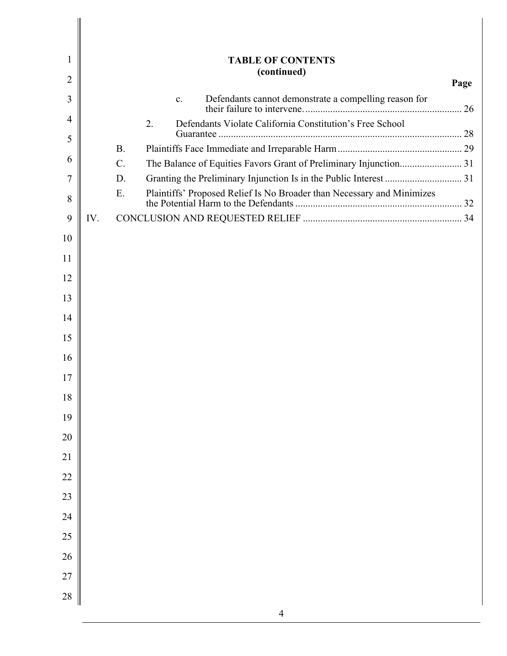| 1              |     | <b>TABLE OF CONTENTS</b>                                                     |      |
|----------------|-----|------------------------------------------------------------------------------|------|
| $\overline{2}$ |     | (continued)                                                                  | Page |
| 3              |     | Defendants cannot demonstrate a compelling reason for<br>$\mathbf{c}$ .      |      |
| 4              |     | Defendants Violate California Constitution's Free School<br>2.               |      |
| 5              |     |                                                                              |      |
| 6              |     | <b>B.</b><br>$\mathcal{C}$ .                                                 |      |
| 7              |     | D.                                                                           |      |
| 8              |     | Plaintiffs' Proposed Relief Is No Broader than Necessary and Minimizes<br>E. |      |
| 9              | IV. |                                                                              |      |
| 10             |     |                                                                              |      |
| 11             |     |                                                                              |      |
| 12             |     |                                                                              |      |
| 13             |     |                                                                              |      |
| 14             |     |                                                                              |      |
| 15             |     |                                                                              |      |
| 16             |     |                                                                              |      |
| 17             |     |                                                                              |      |
| 18             |     |                                                                              |      |
| 19             |     |                                                                              |      |
| 20             |     |                                                                              |      |
| 21             |     |                                                                              |      |
| $22\,$         |     |                                                                              |      |
| 23             |     |                                                                              |      |
| 24             |     |                                                                              |      |
| $25\,$         |     |                                                                              |      |
| 26             |     |                                                                              |      |
| $27\,$         |     |                                                                              |      |
| 28             |     |                                                                              |      |
|                |     | $\overline{4}$                                                               |      |

 $\parallel$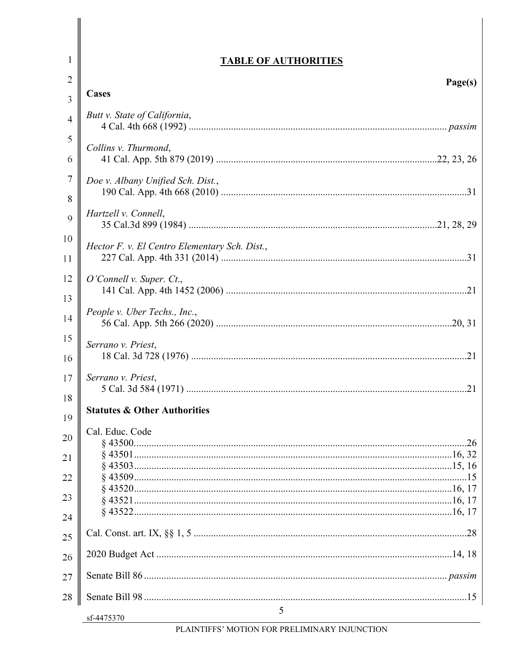# **TABLE OF AUTHORITIES**

 $\mathbf{1}$ 

| $\overline{2}$ | Page(s)<br><b>Cases</b>                       |
|----------------|-----------------------------------------------|
| 3              |                                               |
| $\overline{4}$ | Butt v. State of California,                  |
| 5              | Collins v. Thurmond,                          |
| 6              |                                               |
| $\overline{7}$ | Doe v. Albany Unified Sch. Dist.,             |
| 8              |                                               |
| 9              | Hartzell v. Connell,                          |
| 10             | Hector F. v. El Centro Elementary Sch. Dist., |
| 11             |                                               |
| 12             | O'Connell v. Super. Ct.,                      |
| 13             |                                               |
| 14             | People v. Uber Techs., Inc.,                  |
| 15             | Serrano v. Priest,                            |
| 16             |                                               |
| 17             | Serrano v. Priest,                            |
| 18             |                                               |
| 19             | <b>Statutes &amp; Other Authorities</b>       |
| 20             | Cal. Educ. Code                               |
|                |                                               |
| 21             |                                               |
| 22             |                                               |
| 23             |                                               |
| 24             |                                               |
| 25             |                                               |
| 26             |                                               |
| 27             |                                               |
| 28             |                                               |
|                | $\mathfrak{S}$<br>sf-4475370                  |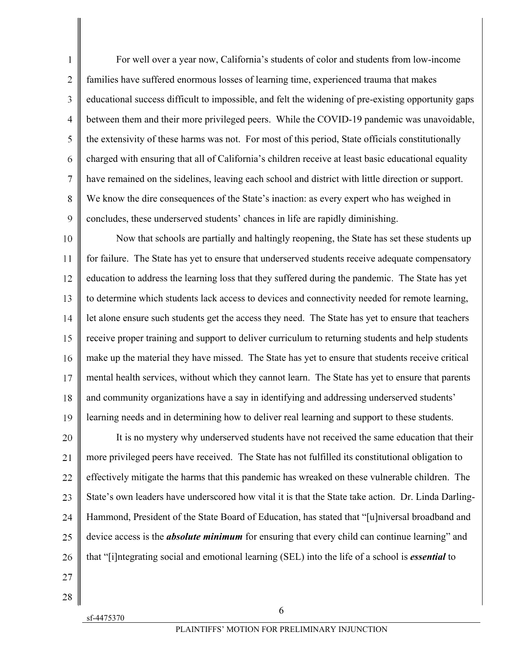1 2 3 4 5 6 7 8 9 For well over a year now, California's students of color and students from low-income families have suffered enormous losses of learning time, experienced trauma that makes educational success difficult to impossible, and felt the widening of pre-existing opportunity gaps between them and their more privileged peers. While the COVID-19 pandemic was unavoidable, the extensivity of these harms was not. For most of this period, State officials constitutionally charged with ensuring that all of California's children receive at least basic educational equality have remained on the sidelines, leaving each school and district with little direction or support. We know the dire consequences of the State's inaction: as every expert who has weighed in concludes, these underserved students' chances in life are rapidly diminishing.

10 11 12 13 14 15 16 17 18 19 Now that schools are partially and haltingly reopening, the State has set these students up for failure. The State has yet to ensure that underserved students receive adequate compensatory education to address the learning loss that they suffered during the pandemic. The State has yet to determine which students lack access to devices and connectivity needed for remote learning, let alone ensure such students get the access they need. The State has yet to ensure that teachers receive proper training and support to deliver curriculum to returning students and help students make up the material they have missed. The State has yet to ensure that students receive critical mental health services, without which they cannot learn. The State has yet to ensure that parents and community organizations have a say in identifying and addressing underserved students' learning needs and in determining how to deliver real learning and support to these students.

20 21 22 23 24 25 26 It is no mystery why underserved students have not received the same education that their more privileged peers have received. The State has not fulfilled its constitutional obligation to effectively mitigate the harms that this pandemic has wreaked on these vulnerable children. The State's own leaders have underscored how vital it is that the State take action. Dr. Linda Darling-Hammond, President of the State Board of Education, has stated that "[u]niversal broadband and device access is the *absolute minimum* for ensuring that every child can continue learning" and that "[i]ntegrating social and emotional learning (SEL) into the life of a school is *essential* to

- 27 28
- sf-4475370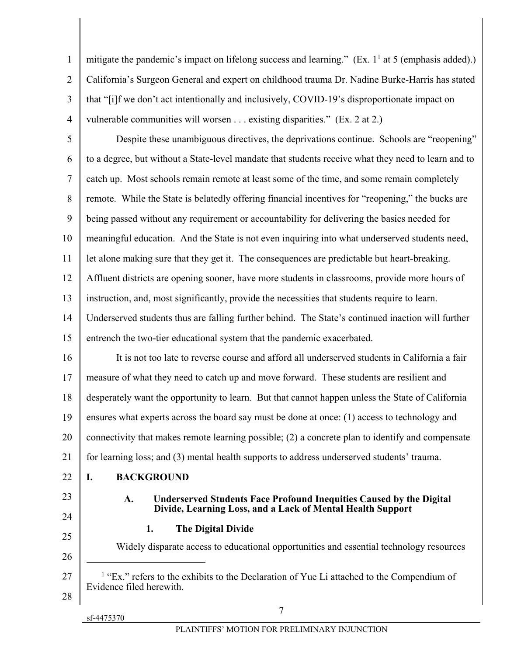3 4 mitigate the pandemic's impact on lifelong success and learning." (Ex.  $1^1$  at 5 (emphasis added).) California's Surgeon General and expert on childhood trauma Dr. Nadine Burke-Harris has stated that "[i]f we don't act intentionally and inclusively, COVID-19's disproportionate impact on vulnerable communities will worsen . . . existing disparities." (Ex. 2 at 2.)

5 6 7 8 9 10 11 12 13 14 15 16 Despite these unambiguous directives, the deprivations continue. Schools are "reopening" to a degree, but without a State-level mandate that students receive what they need to learn and to catch up. Most schools remain remote at least some of the time, and some remain completely remote. While the State is belatedly offering financial incentives for "reopening," the bucks are being passed without any requirement or accountability for delivering the basics needed for meaningful education. And the State is not even inquiring into what underserved students need, let alone making sure that they get it. The consequences are predictable but heart-breaking. Affluent districts are opening sooner, have more students in classrooms, provide more hours of instruction, and, most significantly, provide the necessities that students require to learn. Underserved students thus are falling further behind. The State's continued inaction will further entrench the two-tier educational system that the pandemic exacerbated. It is not too late to reverse course and afford all underserved students in California a fair

17 18 19 20 measure of what they need to catch up and move forward. These students are resilient and desperately want the opportunity to learn. But that cannot happen unless the State of California ensures what experts across the board say must be done at once: (1) access to technology and connectivity that makes remote learning possible; (2) a concrete plan to identify and compensate

21 for learning loss; and (3) mental health supports to address underserved students' trauma.

- 22 **I. BACKGROUND**
- 23

1

 $\overline{2}$ 

## **A. Underserved Students Face Profound Inequities Caused by the Digital Divide, Learning Loss, and a Lack of Mental Health Support**

24 25

26

 $\overline{a}$ 

**1. The Digital Divide** 

Widely disparate access to educational opportunities and essential technology resources

- 27 28 <sup>1</sup> "Ex." refers to the exhibits to the Declaration of Yue Li attached to the Compendium of Evidence filed herewith.
	- sf-4475370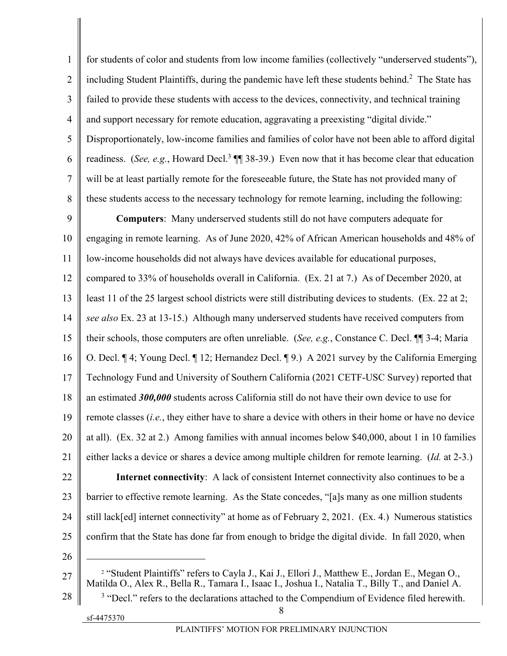| $\mathbf{1}$   | for students of color and students from low income families (collectively "underserved students"),                                                                                                              |
|----------------|-----------------------------------------------------------------------------------------------------------------------------------------------------------------------------------------------------------------|
| $\overline{2}$ | including Student Plaintiffs, during the pandemic have left these students behind. <sup>2</sup> The State has                                                                                                   |
| 3              | failed to provide these students with access to the devices, connectivity, and technical training                                                                                                               |
| $\overline{4}$ | and support necessary for remote education, aggravating a preexisting "digital divide."                                                                                                                         |
| 5              | Disproportionately, low-income families and families of color have not been able to afford digital                                                                                                              |
| 6              | readiness. (See, e.g., Howard Decl. <sup>3</sup> $\P$ 38-39.) Even now that it has become clear that education                                                                                                  |
| $\tau$         | will be at least partially remote for the foreseeable future, the State has not provided many of                                                                                                                |
| 8              | these students access to the necessary technology for remote learning, including the following:                                                                                                                 |
| 9              | <b>Computers:</b> Many underserved students still do not have computers adequate for                                                                                                                            |
| 10             | engaging in remote learning. As of June 2020, 42% of African American households and 48% of                                                                                                                     |
| 11             | low-income households did not always have devices available for educational purposes,                                                                                                                           |
| 12             | compared to 33% of households overall in California. (Ex. 21 at 7.) As of December 2020, at                                                                                                                     |
| 13             | least 11 of the 25 largest school districts were still distributing devices to students. (Ex. 22 at 2;                                                                                                          |
| 14             | see also Ex. 23 at 13-15.) Although many underserved students have received computers from                                                                                                                      |
| 15             | their schools, those computers are often unreliable. (See, e.g., Constance C. Decl. II 3-4; Maria                                                                                                               |
| 16             | O. Decl. ¶ 4; Young Decl. ¶ 12; Hernandez Decl. ¶ 9.) A 2021 survey by the California Emerging                                                                                                                  |
| 17             | Technology Fund and University of Southern California (2021 CETF-USC Survey) reported that                                                                                                                      |
| 18             | an estimated 300,000 students across California still do not have their own device to use for                                                                                                                   |
| 19             | remote classes $(i.e.,$ they either have to share a device with others in their home or have no device                                                                                                          |
| 20             | at all). (Ex. 32 at 2.) Among families with annual incomes below \$40,000, about 1 in 10 families                                                                                                               |
| 21             | either lacks a device or shares a device among multiple children for remote learning. (Id. at 2-3.)                                                                                                             |
| 22             | Internet connectivity: A lack of consistent Internet connectivity also continues to be a                                                                                                                        |
| 23             | barrier to effective remote learning. As the State concedes, "[a]s many as one million students                                                                                                                 |
| 24             | still lack[ed] internet connectivity" at home as of February 2, 2021. (Ex. 4.) Numerous statistics                                                                                                              |
| 25             | confirm that the State has done far from enough to bridge the digital divide. In fall 2020, when                                                                                                                |
| 26             |                                                                                                                                                                                                                 |
| 27             | <sup>2</sup> "Student Plaintiffs" refers to Cayla J., Kai J., Ellori J., Matthew E., Jordan E., Megan O.,<br>Matilda O., Alex R., Bella R., Tamara I., Isaac I., Joshua I., Natalia T., Billy T., and Daniel A. |
| 28             | <sup>3</sup> "Decl." refers to the declarations attached to the Compendium of Evidence filed herewith.                                                                                                          |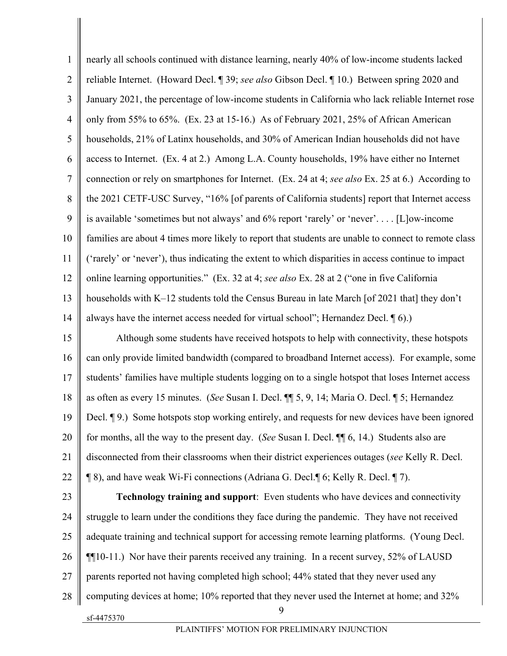| 1              | nearly all schools continued with distance learning, nearly 40% of low-income students lacked        |
|----------------|------------------------------------------------------------------------------------------------------|
| $\overline{2}$ | reliable Internet. (Howard Decl. ¶ 39; see also Gibson Decl. ¶ 10.) Between spring 2020 and          |
| 3              | January 2021, the percentage of low-income students in California who lack reliable Internet rose    |
| $\overline{4}$ | only from 55% to 65%. (Ex. 23 at 15-16.) As of February 2021, 25% of African American                |
| $\mathfrak{S}$ | households, 21% of Latinx households, and 30% of American Indian households did not have             |
| 6              | access to Internet. (Ex. 4 at 2.) Among L.A. County households, 19% have either no Internet          |
| $\overline{7}$ | connection or rely on smartphones for Internet. (Ex. 24 at 4; see also Ex. 25 at 6.) According to    |
| 8              | the 2021 CETF-USC Survey, "16% [of parents of California students] report that Internet access       |
| 9              | is available 'sometimes but not always' and $6\%$ report 'rarely' or 'never' [L] ow-income           |
| 10             | families are about 4 times more likely to report that students are unable to connect to remote class |
| 11             | ('rarely' or 'never'), thus indicating the extent to which disparities in access continue to impact  |
| 12             | online learning opportunities." (Ex. 32 at 4; see also Ex. 28 at 2 ("one in five California          |
| 13             | households with K-12 students told the Census Bureau in late March [of 2021 that] they don't         |
| 14             | always have the internet access needed for virtual school"; Hernandez Decl. [6).)                    |
| 15             | Although some students have received hotspots to help with connectivity, these hotspots              |
| 16             | can only provide limited bandwidth (compared to broadband Internet access). For example, some        |
| 17             | students' families have multiple students logging on to a single hotspot that loses Internet access  |
| 18             | as often as every 15 minutes. (See Susan I. Decl. ¶ 5, 9, 14; Maria O. Decl. ¶ 5; Hernandez          |
| 19             | Decl. ¶ 9.) Some hotspots stop working entirely, and requests for new devices have been ignored      |
| 20             | for months, all the way to the present day. (See Susan I. Decl. ¶ 6, 14.) Students also are          |
| 21             | disconnected from their classrooms when their district experiences outages (see Kelly R. Decl.       |
| 22             | ¶ 8), and have weak Wi-Fi connections (Adriana G. Decl.¶ 6; Kelly R. Decl. ¶ 7).                     |
| 23             | <b>Technology training and support:</b> Even students who have devices and connectivity              |
| 24             | struggle to learn under the conditions they face during the pandemic. They have not received         |
| 25             | adequate training and technical support for accessing remote learning platforms. (Young Decl.        |
| 26             | <b>[</b> [10-11.] Nor have their parents received any training. In a recent survey, 52% of LAUSD     |
| 27             | parents reported not having completed high school; 44% stated that they never used any               |
| 28             | computing devices at home; 10% reported that they never used the Internet at home; and 32%           |
|                | 9<br>sf-4475370                                                                                      |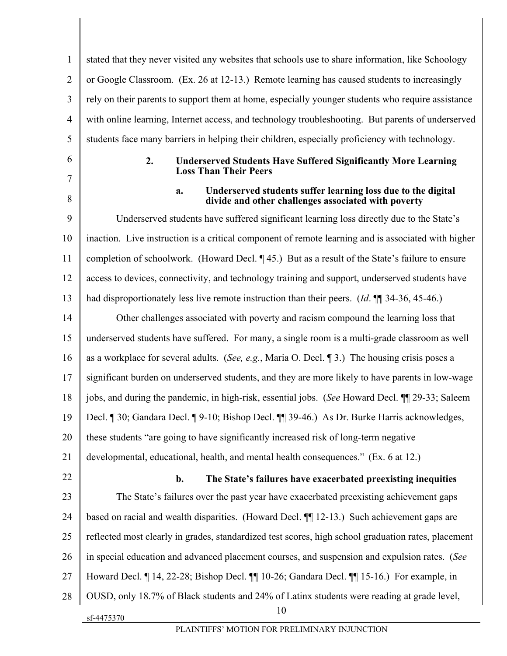1  $\mathfrak{D}$ 3 4 5 stated that they never visited any websites that schools use to share information, like Schoology or Google Classroom. (Ex. 26 at 12-13.) Remote learning has caused students to increasingly rely on their parents to support them at home, especially younger students who require assistance with online learning, Internet access, and technology troubleshooting. But parents of underserved students face many barriers in helping their children, especially proficiency with technology.

6 7

8

#### **2. Underserved Students Have Suffered Significantly More Learning Loss Than Their Peers**

#### **a. Underserved students suffer learning loss due to the digital divide and other challenges associated with poverty**

9 10 11 12 13 Underserved students have suffered significant learning loss directly due to the State's inaction. Live instruction is a critical component of remote learning and is associated with higher completion of schoolwork. (Howard Decl. ¶ 45.) But as a result of the State's failure to ensure access to devices, connectivity, and technology training and support, underserved students have had disproportionately less live remote instruction than their peers. (*Id*. ¶¶ 34-36, 45-46.)

14 15 16 17 18 19 20 Other challenges associated with poverty and racism compound the learning loss that underserved students have suffered. For many, a single room is a multi-grade classroom as well as a workplace for several adults. (*See, e.g.*, Maria O. Decl. ¶ 3.) The housing crisis poses a significant burden on underserved students, and they are more likely to have parents in low-wage jobs, and during the pandemic, in high-risk, essential jobs. (*See* Howard Decl. ¶¶ 29-33; Saleem Decl. ¶ 30; Gandara Decl. ¶ 9-10; Bishop Decl. ¶¶ 39-46.) As Dr. Burke Harris acknowledges, these students "are going to have significantly increased risk of long-term negative

21 developmental, educational, health, and mental health consequences." (Ex. 6 at 12.)

22

# **b. The State's failures have exacerbated preexisting inequities**

sf-4475370 10 23 24 25 26 27 28 The State's failures over the past year have exacerbated preexisting achievement gaps based on racial and wealth disparities. (Howard Decl. ¶¶ 12-13.) Such achievement gaps are reflected most clearly in grades, standardized test scores, high school graduation rates, placement in special education and advanced placement courses, and suspension and expulsion rates. (*See* Howard Decl. ¶ 14, 22-28; Bishop Decl. ¶¶ 10-26; Gandara Decl. ¶¶ 15-16.) For example, in OUSD, only 18.7% of Black students and 24% of Latinx students were reading at grade level,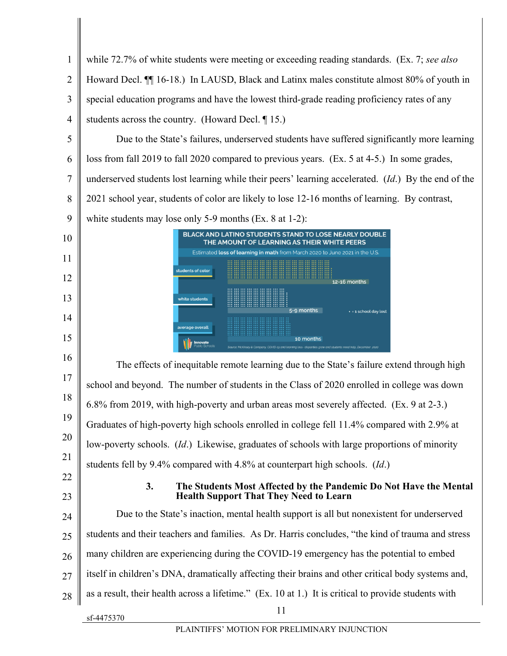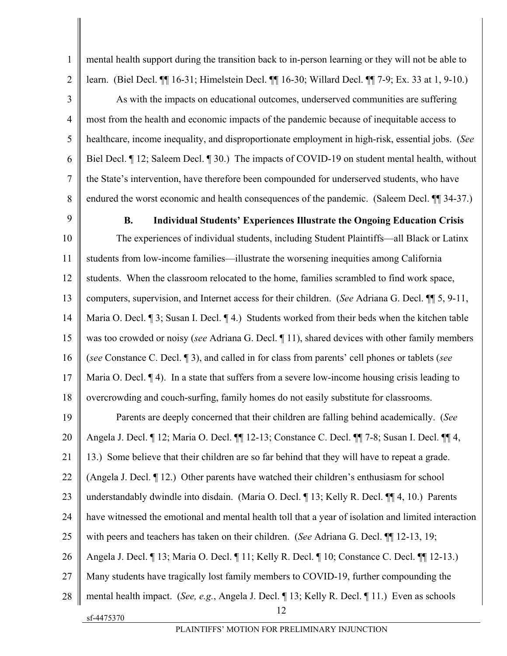3 4 5 6 7 learn. (Biel Decl. ¶¶ 16-31; Himelstein Decl. ¶¶ 16-30; Willard Decl. ¶¶ 7-9; Ex. 33 at 1, 9-10.) As with the impacts on educational outcomes, underserved communities are suffering most from the health and economic impacts of the pandemic because of inequitable access to healthcare, income inequality, and disproportionate employment in high-risk, essential jobs. (*See* Biel Decl. ¶ 12; Saleem Decl. ¶ 30.) The impacts of COVID-19 on student mental health, without the State's intervention, have therefore been compounded for underserved students, who have endured the worst economic and health consequences of the pandemic. (Saleem Decl.  $\P$  34-37.)

mental health support during the transition back to in-person learning or they will not be able to

9

8

1

 $\mathfrak{D}$ 

#### **B. Individual Students' Experiences Illustrate the Ongoing Education Crisis**

10 11 12 13 14 15 16 17 18 The experiences of individual students, including Student Plaintiffs—all Black or Latinx students from low-income families—illustrate the worsening inequities among California students. When the classroom relocated to the home, families scrambled to find work space, computers, supervision, and Internet access for their children. (*See* Adriana G. Decl. ¶¶ 5, 9-11, Maria O. Decl. ¶ 3; Susan I. Decl. ¶ 4.) Students worked from their beds when the kitchen table was too crowded or noisy (*see* Adriana G. Decl. ¶ 11), shared devices with other family members (*see* Constance C. Decl. ¶ 3), and called in for class from parents' cell phones or tablets (*see*  Maria O. Decl. <sup>1</sup>4). In a state that suffers from a severe low-income housing crisis leading to overcrowding and couch-surfing, family homes do not easily substitute for classrooms.

sf-4475370 12 19 20 21 22 23 24 25 26 27 28 Parents are deeply concerned that their children are falling behind academically. (*See*  Angela J. Decl. ¶ 12; Maria O. Decl. ¶¶ 12-13; Constance C. Decl. ¶¶ 7-8; Susan I. Decl. ¶¶ 4, 13.) Some believe that their children are so far behind that they will have to repeat a grade. (Angela J. Decl. ¶ 12.) Other parents have watched their children's enthusiasm for school understandably dwindle into disdain. (Maria O. Decl. ¶ 13; Kelly R. Decl. ¶¶ 4, 10.) Parents have witnessed the emotional and mental health toll that a year of isolation and limited interaction with peers and teachers has taken on their children. (*See* Adriana G. Decl. ¶¶ 12-13, 19; Angela J. Decl. ¶ 13; Maria O. Decl. ¶ 11; Kelly R. Decl. ¶ 10; Constance C. Decl. ¶¶ 12-13.) Many students have tragically lost family members to COVID-19, further compounding the mental health impact. (*See, e.g.*, Angela J. Decl. ¶ 13; Kelly R. Decl. ¶ 11.) Even as schools

PLAINTIFFS' MOTION FOR PRELIMINARY INJUNCTION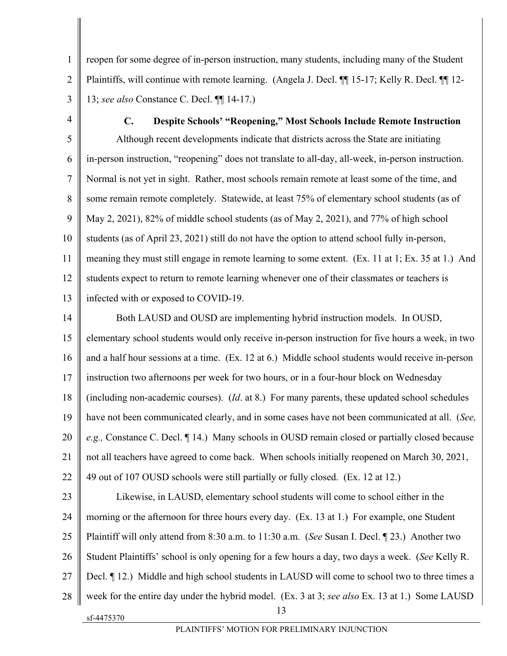1  $\mathfrak{D}$ 3 reopen for some degree of in-person instruction, many students, including many of the Student Plaintiffs, will continue with remote learning. (Angela J. Decl. ¶¶ 15-17; Kelly R. Decl. ¶¶ 12- 13; *see also* Constance C. Decl. ¶¶ 14-17.)

4

5

6

7

8

9

10

11

12

13

sf-4475370

**C. Despite Schools' "Reopening," Most Schools Include Remote Instruction**  Although recent developments indicate that districts across the State are initiating in-person instruction, "reopening" does not translate to all-day, all-week, in-person instruction. Normal is not yet in sight. Rather, most schools remain remote at least some of the time, and some remain remote completely. Statewide, at least 75% of elementary school students (as of May 2, 2021), 82% of middle school students (as of May 2, 2021), and 77% of high school students (as of April 23, 2021) still do not have the option to attend school fully in-person, meaning they must still engage in remote learning to some extent. (Ex. 11 at 1; Ex. 35 at 1.) And students expect to return to remote learning whenever one of their classmates or teachers is infected with or exposed to COVID-19.

14 15 16 17 18 19 20 21 22 23 24 25 26 27 28 Both LAUSD and OUSD are implementing hybrid instruction models. In OUSD, elementary school students would only receive in-person instruction for five hours a week, in two and a half hour sessions at a time. (Ex. 12 at 6.) Middle school students would receive in-person instruction two afternoons per week for two hours, or in a four-hour block on Wednesday (including non-academic courses). (*Id*. at 8.) For many parents, these updated school schedules have not been communicated clearly, and in some cases have not been communicated at all. (*See, e.g.,* Constance C. Decl. ¶ 14.) Many schools in OUSD remain closed or partially closed because not all teachers have agreed to come back. When schools initially reopened on March 30, 2021, 49 out of 107 OUSD schools were still partially or fully closed. (Ex. 12 at 12.) Likewise, in LAUSD, elementary school students will come to school either in the morning or the afternoon for three hours every day. (Ex. 13 at 1.) For example, one Student Plaintiff will only attend from 8:30 a.m. to 11:30 a.m. (*See* Susan I. Decl. ¶ 23.) Another two Student Plaintiffs' school is only opening for a few hours a day, two days a week. (*See* Kelly R. Decl. ¶ 12.) Middle and high school students in LAUSD will come to school two to three times a week for the entire day under the hybrid model. (Ex. 3 at 3; *see also* Ex. 13 at 1.) Some LAUSD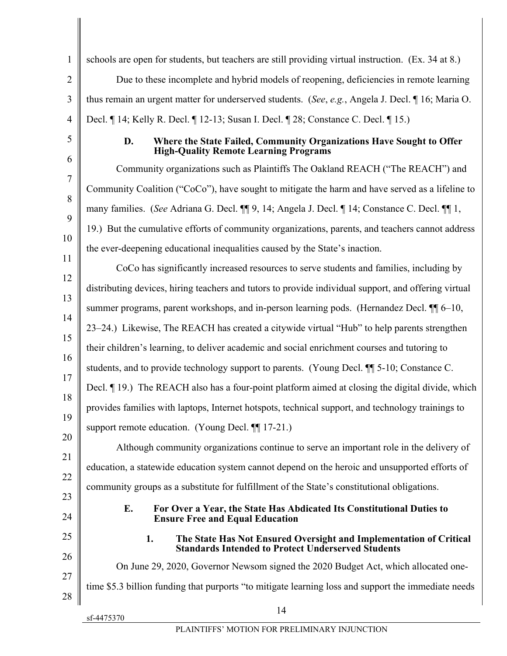| $\mathbf{1}$   | schools are open for students, but teachers are still providing virtual instruction. (Ex. 34 at 8.)                                             |
|----------------|-------------------------------------------------------------------------------------------------------------------------------------------------|
| $\overline{2}$ | Due to these incomplete and hybrid models of reopening, deficiencies in remote learning                                                         |
| 3              | thus remain an urgent matter for underserved students. (See, e.g., Angela J. Decl. ¶ 16; Maria O.                                               |
| $\overline{4}$ | Decl. ¶ 14; Kelly R. Decl. ¶ 12-13; Susan I. Decl. ¶ 28; Constance C. Decl. ¶ 15.)                                                              |
| 5              | D.<br>Where the State Failed, Community Organizations Have Sought to Offer<br><b>High-Quality Remote Learning Programs</b>                      |
| 6              | Community organizations such as Plaintiffs The Oakland REACH ("The REACH") and                                                                  |
| 7              | Community Coalition ("CoCo"), have sought to mitigate the harm and have served as a lifeline to                                                 |
| 8              | many families. (See Adriana G. Decl. ¶ 9, 14; Angela J. Decl. ¶ 14; Constance C. Decl. ¶ 1,                                                     |
| 9              | 19.) But the cumulative efforts of community organizations, parents, and teachers cannot address                                                |
| 10             | the ever-deepening educational inequalities caused by the State's inaction.                                                                     |
| 11<br>12       | CoCo has significantly increased resources to serve students and families, including by                                                         |
| 13             | distributing devices, hiring teachers and tutors to provide individual support, and offering virtual                                            |
| 14             | summer programs, parent workshops, and in-person learning pods. (Hernandez Decl. $\P$ 6-10,                                                     |
| 15             | 23–24.) Likewise, The REACH has created a citywide virtual "Hub" to help parents strengthen                                                     |
| 16             | their children's learning, to deliver academic and social enrichment courses and tutoring to                                                    |
| 17             | students, and to provide technology support to parents. (Young Decl. ¶ 5-10; Constance C.                                                       |
| 18             | Decl. ¶ 19.) The REACH also has a four-point platform aimed at closing the digital divide, which                                                |
| 19             | provides families with laptops, Internet hotspots, technical support, and technology trainings to                                               |
| 20             | support remote education. (Young Decl. ¶17-21.)                                                                                                 |
| 21             | Although community organizations continue to serve an important role in the delivery of                                                         |
| 22             | education, a statewide education system cannot depend on the heroic and unsupported efforts of                                                  |
| 23             | community groups as a substitute for fulfillment of the State's constitutional obligations.                                                     |
| 24             | Е.<br>For Over a Year, the State Has Abdicated Its Constitutional Duties to<br><b>Ensure Free and Equal Education</b>                           |
| 25             | The State Has Not Ensured Oversight and Implementation of Critical<br>1.                                                                        |
| 26             | <b>Standards Intended to Protect Underserved Students</b><br>On June 29, 2020, Governor Newsom signed the 2020 Budget Act, which allocated one- |
| 27             | time \$5.3 billion funding that purports "to mitigate learning loss and support the immediate needs                                             |
| 28             |                                                                                                                                                 |
|                | 14<br>sf-4475370                                                                                                                                |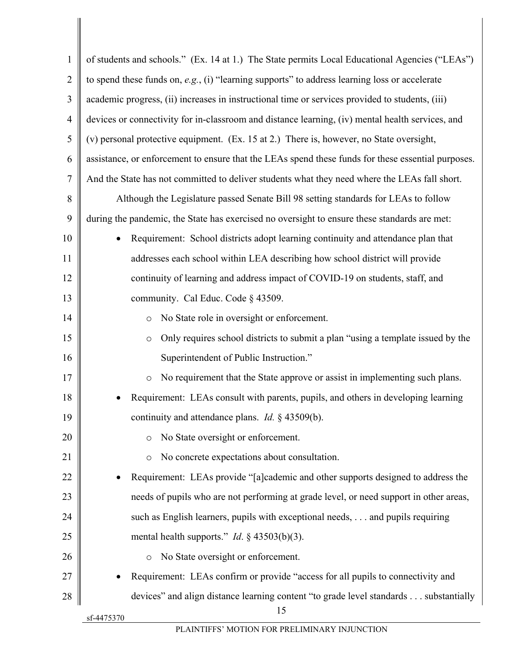| $\mathbf{1}$   | of students and schools." (Ex. 14 at 1.) The State permits Local Educational Agencies ("LEAs")     |
|----------------|----------------------------------------------------------------------------------------------------|
| $\overline{2}$ | to spend these funds on, $e.g.,$ (i) "learning supports" to address learning loss or accelerate    |
| 3              | academic progress, (ii) increases in instructional time or services provided to students, (iii)    |
| $\overline{4}$ | devices or connectivity for in-classroom and distance learning, (iv) mental health services, and   |
| 5              | (v) personal protective equipment. (Ex. 15 at 2.) There is, however, no State oversight,           |
| 6              | assistance, or enforcement to ensure that the LEAs spend these funds for these essential purposes. |
| $\overline{7}$ | And the State has not committed to deliver students what they need where the LEAs fall short.      |
| 8              | Although the Legislature passed Senate Bill 98 setting standards for LEAs to follow                |
| 9              | during the pandemic, the State has exercised no oversight to ensure these standards are met:       |
| 10             | Requirement: School districts adopt learning continuity and attendance plan that                   |
| 11             | addresses each school within LEA describing how school district will provide                       |
| 12             | continuity of learning and address impact of COVID-19 on students, staff, and                      |
| 13             | community. Cal Educ. Code § 43509.                                                                 |
| 14             | No State role in oversight or enforcement.<br>$\circ$                                              |
| 15             | Only requires school districts to submit a plan "using a template issued by the<br>$\circ$         |
| 16             | Superintendent of Public Instruction."                                                             |
| 17             | No requirement that the State approve or assist in implementing such plans.<br>$\circ$             |
| 18             | Requirement: LEAs consult with parents, pupils, and others in developing learning                  |
| 19             | continuity and attendance plans. Id. § 43509(b).                                                   |
| 20             | No State oversight or enforcement.<br>$\circ$                                                      |
| 21             | No concrete expectations about consultation.<br>$\circ$                                            |
| 22             | Requirement: LEAs provide "[a]cademic and other supports designed to address the                   |
| 23             | needs of pupils who are not performing at grade level, or need support in other areas,             |
| 24             | such as English learners, pupils with exceptional needs, and pupils requiring                      |
| 25             | mental health supports." <i>Id.</i> $\S$ 43503(b)(3).                                              |
| 26             | No State oversight or enforcement.<br>$\circ$                                                      |
| 27             | Requirement: LEAs confirm or provide "access for all pupils to connectivity and                    |
| 28             | devices" and align distance learning content "to grade level standards substantially               |
|                | 15<br>sf-4475370                                                                                   |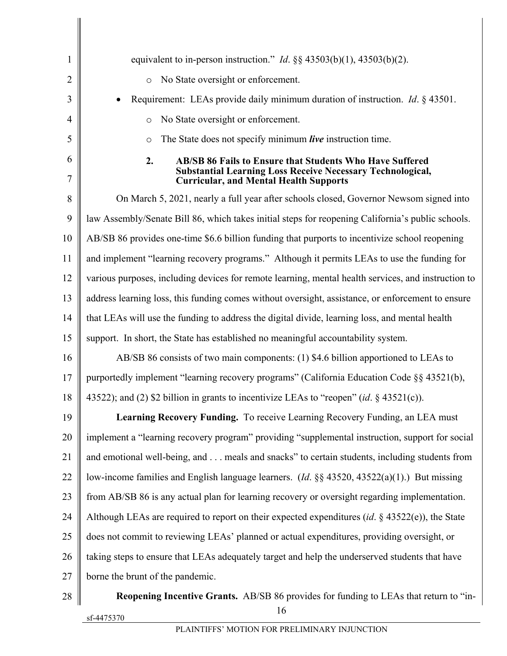| $\mathbf{1}$   | equivalent to in-person instruction." <i>Id.</i> $\S$ $\S$ 43503(b)(1), 43503(b)(2).                                                                                                        |
|----------------|---------------------------------------------------------------------------------------------------------------------------------------------------------------------------------------------|
| $\overline{2}$ | No State oversight or enforcement.<br>$\circ$                                                                                                                                               |
| 3              | Requirement: LEAs provide daily minimum duration of instruction. <i>Id.</i> § 43501.                                                                                                        |
| 4              | No State oversight or enforcement.<br>$\circ$                                                                                                                                               |
| 5              | The State does not specify minimum live instruction time.<br>$\circ$                                                                                                                        |
| 6<br>7         | 2.<br><b>AB/SB 86 Fails to Ensure that Students Who Have Suffered</b><br><b>Substantial Learning Loss Receive Necessary Technological,</b><br><b>Curricular, and Mental Health Supports</b> |
| 8              | On March 5, 2021, nearly a full year after schools closed, Governor Newsom signed into                                                                                                      |
| 9              | law Assembly/Senate Bill 86, which takes initial steps for reopening California's public schools.                                                                                           |
| 10             | AB/SB 86 provides one-time \$6.6 billion funding that purports to incentivize school reopening                                                                                              |
| 11             | and implement "learning recovery programs." Although it permits LEAs to use the funding for                                                                                                 |
| 12             | various purposes, including devices for remote learning, mental health services, and instruction to                                                                                         |
| 13             | address learning loss, this funding comes without oversight, assistance, or enforcement to ensure                                                                                           |
| 14             | that LEAs will use the funding to address the digital divide, learning loss, and mental health                                                                                              |
| 15             | support. In short, the State has established no meaningful accountability system.                                                                                                           |
| 16             | AB/SB 86 consists of two main components: (1) \$4.6 billion apportioned to LEAs to                                                                                                          |
| 17             | purportedly implement "learning recovery programs" (California Education Code §§ 43521(b),                                                                                                  |
| 18             | 43522); and (2) \$2 billion in grants to incentivize LEAs to "reopen" (id. $\S$ 43521(c)).                                                                                                  |
| 19             | Learning Recovery Funding. To receive Learning Recovery Funding, an LEA must                                                                                                                |
| 20             | implement a "learning recovery program" providing "supplemental instruction, support for social                                                                                             |
| 21             | and emotional well-being, and meals and snacks" to certain students, including students from                                                                                                |
| 22             | low-income families and English language learners. ( <i>Id.</i> $\S$ § 43520, 43522(a)(1).) But missing                                                                                     |
| 23             | from AB/SB 86 is any actual plan for learning recovery or oversight regarding implementation.                                                                                               |
| 24             | Although LEAs are required to report on their expected expenditures (id. $\S$ 43522(e)), the State                                                                                          |
| 25             | does not commit to reviewing LEAs' planned or actual expenditures, providing oversight, or                                                                                                  |
| 26             | taking steps to ensure that LEAs adequately target and help the underserved students that have                                                                                              |
| 27             | borne the brunt of the pandemic.                                                                                                                                                            |
| 28             | Reopening Incentive Grants. AB/SB 86 provides for funding to LEAs that return to "in-<br>16                                                                                                 |

sf-4475370

Π  $\parallel$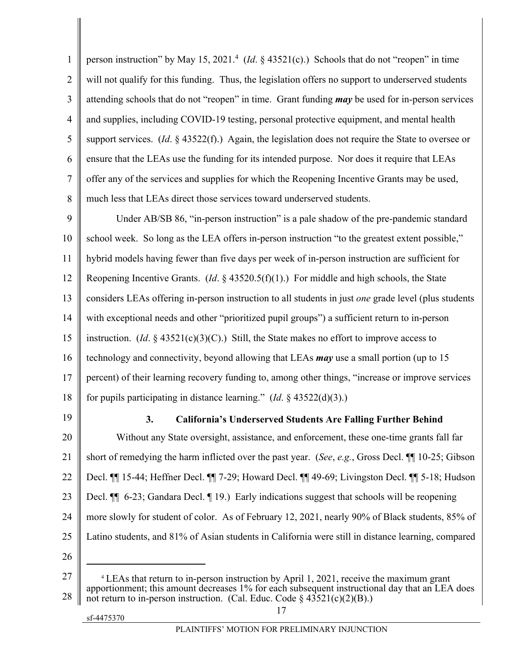1  $\overline{2}$ 3 4 5 6 7 8 person instruction" by May 15, 2021.<sup>4</sup> (*Id.* § 43521(c).) Schools that do not "reopen" in time will not qualify for this funding. Thus, the legislation offers no support to underserved students attending schools that do not "reopen" in time. Grant funding *may* be used for in-person services and supplies, including COVID-19 testing, personal protective equipment, and mental health support services. (*Id*. § 43522(f).) Again, the legislation does not require the State to oversee or ensure that the LEAs use the funding for its intended purpose. Nor does it require that LEAs offer any of the services and supplies for which the Reopening Incentive Grants may be used, much less that LEAs direct those services toward underserved students.

9 10 11 12 13 14 15 16 17 18 Under AB/SB 86, "in-person instruction" is a pale shadow of the pre-pandemic standard school week. So long as the LEA offers in-person instruction "to the greatest extent possible," hybrid models having fewer than five days per week of in-person instruction are sufficient for Reopening Incentive Grants. (*Id*. § 43520.5(f)(1).) For middle and high schools, the State considers LEAs offering in-person instruction to all students in just *one* grade level (plus students with exceptional needs and other "prioritized pupil groups") a sufficient return to in-person instruction. (*Id.*  $\S$  43521(c)(3)(C).) Still, the State makes no effort to improve access to technology and connectivity, beyond allowing that LEAs *may* use a small portion (up to 15 percent) of their learning recovery funding to, among other things, "increase or improve services for pupils participating in distance learning." (*Id*. § 43522(d)(3).)

19

## **3. California's Underserved Students Are Falling Further Behind**

20 21 22 23 24 25 Without any State oversight, assistance, and enforcement, these one-time grants fall far short of remedying the harm inflicted over the past year. (*See*, *e.g.*, Gross Decl. ¶¶ 10-25; Gibson Decl. ¶¶ 15-44; Heffner Decl. ¶¶ 7-29; Howard Decl. ¶¶ 49-69; Livingston Decl. ¶¶ 5-18; Hudson Decl.  $\P$  6-23; Gandara Decl.  $\P$  19.) Early indications suggest that schools will be reopening more slowly for student of color. As of February 12, 2021, nearly 90% of Black students, 85% of Latino students, and 81% of Asian students in California were still in distance learning, compared

26

 $\overline{a}$ 

27 28 <sup>4</sup> LEAs that return to in-person instruction by April 1, 2021, receive the maximum grant apportionment; this amount decreases 1% for each subsequent instructional day that an LEA does not return to in-person instruction. (Cal. Educ. Code  $\frac{\sqrt{3521(c)(2)(B)}}{2}$ ).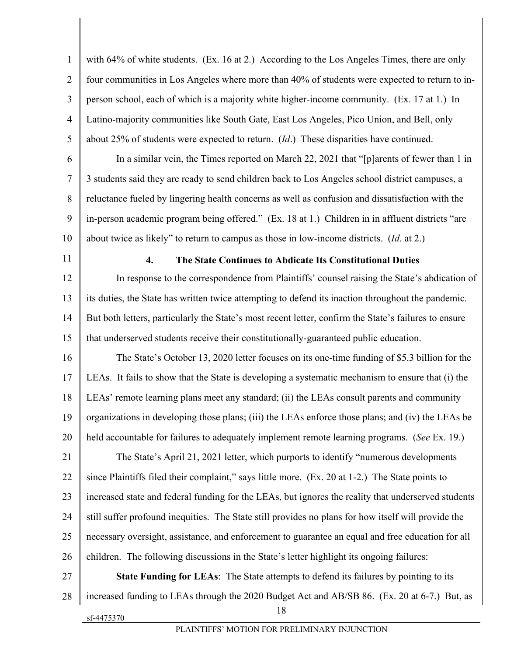1  $\overline{2}$ 3 4 5 with 64% of white students. (Ex. 16 at 2.) According to the Los Angeles Times, there are only four communities in Los Angeles where more than 40% of students were expected to return to inperson school, each of which is a majority white higher-income community. (Ex. 17 at 1.) In Latino-majority communities like South Gate, East Los Angeles, Pico Union, and Bell, only about 25% of students were expected to return. (*Id*.) These disparities have continued.

6 7 8 9 10 In a similar vein, the Times reported on March 22, 2021 that "[p]arents of fewer than 1 in 3 students said they are ready to send children back to Los Angeles school district campuses, a reluctance fueled by lingering health concerns as well as confusion and dissatisfaction with the in-person academic program being offered." (Ex. 18 at 1.) Children in in affluent districts "are about twice as likely" to return to campus as those in low-income districts. (*Id*. at 2.)

11

#### **4. The State Continues to Abdicate Its Constitutional Duties**

12 13 14 15 In response to the correspondence from Plaintiffs' counsel raising the State's abdication of its duties, the State has written twice attempting to defend its inaction throughout the pandemic. But both letters, particularly the State's most recent letter, confirm the State's failures to ensure that underserved students receive their constitutionally-guaranteed public education.

16 17 18 19 20 The State's October 13, 2020 letter focuses on its one-time funding of \$5.3 billion for the LEAs. It fails to show that the State is developing a systematic mechanism to ensure that (i) the LEAs' remote learning plans meet any standard; (ii) the LEAs consult parents and community organizations in developing those plans; (iii) the LEAs enforce those plans; and (iv) the LEAs be held accountable for failures to adequately implement remote learning programs. (*See* Ex. 19.)

21 22 23 24 25 26 The State's April 21, 2021 letter, which purports to identify "numerous developments since Plaintiffs filed their complaint," says little more. (Ex. 20 at 1-2.) The State points to increased state and federal funding for the LEAs, but ignores the reality that underserved students still suffer profound inequities. The State still provides no plans for how itself will provide the necessary oversight, assistance, and enforcement to guarantee an equal and free education for all children. The following discussions in the State's letter highlight its ongoing failures:

18 27 28 **State Funding for LEAs**: The State attempts to defend its failures by pointing to its increased funding to LEAs through the 2020 Budget Act and AB/SB 86. (Ex. 20 at 6-7.) But, as

sf-4475370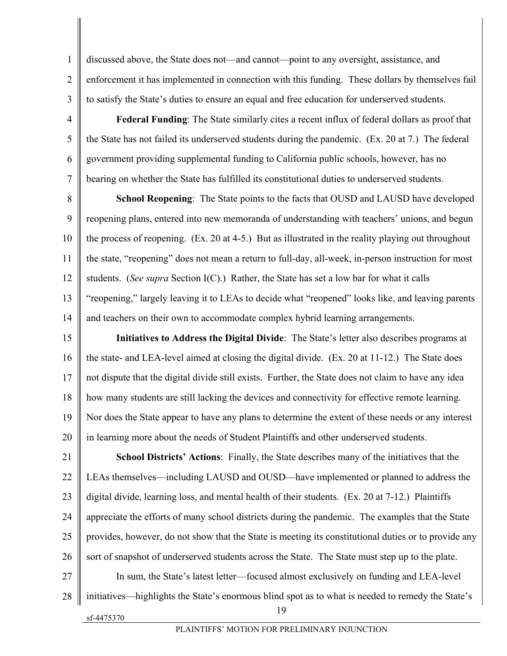discussed above, the State does not—and cannot—point to any oversight, assistance, and enforcement it has implemented in connection with this funding. These dollars by themselves fail to satisfy the State's duties to ensure an equal and free education for underserved students.

**Federal Funding**: The State similarly cites a recent influx of federal dollars as proof that the State has not failed its underserved students during the pandemic. (Ex. 20 at 7.) The federal government providing supplemental funding to California public schools, however, has no bearing on whether the State has fulfilled its constitutional duties to underserved students.

8 9 10 11 12 13 14 **School Reopening**: The State points to the facts that OUSD and LAUSD have developed reopening plans, entered into new memoranda of understanding with teachers' unions, and begun the process of reopening. (Ex. 20 at 4-5.) But as illustrated in the reality playing out throughout the state, "reopening" does not mean a return to full-day, all-week, in-person instruction for most students. (*See supra* Section I(C).) Rather, the State has set a low bar for what it calls "reopening," largely leaving it to LEAs to decide what "reopened" looks like, and leaving parents and teachers on their own to accommodate complex hybrid learning arrangements.

15 16 17 18 19 20 **Initiatives to Address the Digital Divide**: The State's letter also describes programs at the state- and LEA-level aimed at closing the digital divide. (Ex. 20 at 11-12.) The State does not dispute that the digital divide still exists. Further, the State does not claim to have any idea how many students are still lacking the devices and connectivity for effective remote learning. Nor does the State appear to have any plans to determine the extent of these needs or any interest in learning more about the needs of Student Plaintiffs and other underserved students.

19 21 22 23 24 25 26 27 28 **School Districts' Actions**: Finally, the State describes many of the initiatives that the LEAs themselves—including LAUSD and OUSD—have implemented or planned to address the digital divide, learning loss, and mental health of their students. (Ex. 20 at 7-12.) Plaintiffs appreciate the efforts of many school districts during the pandemic. The examples that the State provides, however, do not show that the State is meeting its constitutional duties or to provide any sort of snapshot of underserved students across the State. The State must step up to the plate. In sum, the State's latest letter—focused almost exclusively on funding and LEA-level initiatives—highlights the State's enormous blind spot as to what is needed to remedy the State's

sf-4475370

1

 $\overline{2}$ 

3

4

5

6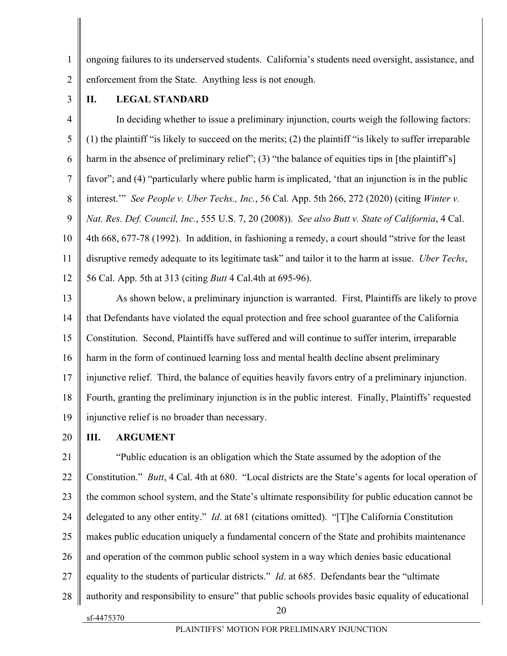ongoing failures to its underserved students. California's students need oversight, assistance, and enforcement from the State. Anything less is not enough.

3

1

 $\overline{2}$ 

# **II. LEGAL STANDARD**

4 5 6 7 8 9 10 11 12 In deciding whether to issue a preliminary injunction, courts weigh the following factors: (1) the plaintiff "is likely to succeed on the merits; (2) the plaintiff "is likely to suffer irreparable harm in the absence of preliminary relief"; (3) "the balance of equities tips in [the plaintiff's] favor"; and (4) "particularly where public harm is implicated, 'that an injunction is in the public interest.'" *See People v. Uber Techs., Inc.*, 56 Cal. App. 5th 266, 272 (2020) (citing *Winter v. Nat. Res. Def. Council, Inc.*, 555 U.S. 7, 20 (2008)). *See also Butt v. State of California*, 4 Cal. 4th 668, 677-78 (1992). In addition, in fashioning a remedy, a court should "strive for the least disruptive remedy adequate to its legitimate task" and tailor it to the harm at issue. *Uber Techs*, 56 Cal. App. 5th at 313 (citing *Butt* 4 Cal.4th at 695-96).

13 14 15 16 17 18 19 As shown below, a preliminary injunction is warranted. First, Plaintiffs are likely to prove that Defendants have violated the equal protection and free school guarantee of the California Constitution. Second, Plaintiffs have suffered and will continue to suffer interim, irreparable harm in the form of continued learning loss and mental health decline absent preliminary injunctive relief. Third, the balance of equities heavily favors entry of a preliminary injunction. Fourth, granting the preliminary injunction is in the public interest. Finally, Plaintiffs' requested injunctive relief is no broader than necessary.

20

# **III. ARGUMENT**

sf-4475370 20 21 22 23 24 25 26 27 28 "Public education is an obligation which the State assumed by the adoption of the Constitution." *Butt*, 4 Cal. 4th at 680. "Local districts are the State's agents for local operation of the common school system, and the State's ultimate responsibility for public education cannot be delegated to any other entity." *Id*. at 681 (citations omitted). "[T]he California Constitution makes public education uniquely a fundamental concern of the State and prohibits maintenance and operation of the common public school system in a way which denies basic educational equality to the students of particular districts." *Id*. at 685. Defendants bear the "ultimate authority and responsibility to ensure" that public schools provides basic equality of educational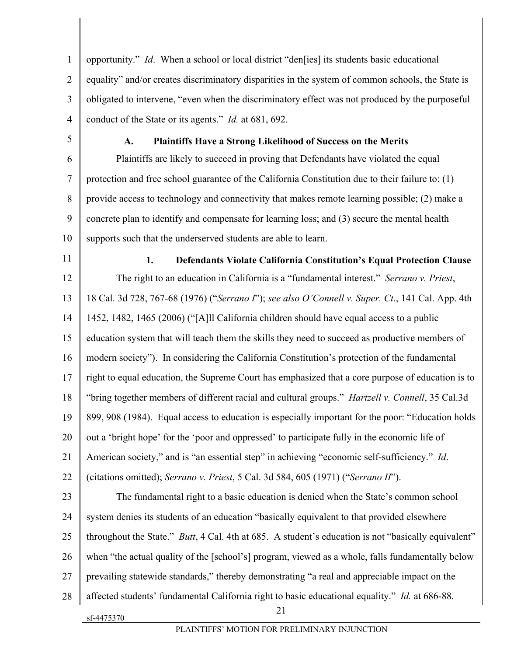1  $\overline{2}$ 3 4 opportunity." *Id*. When a school or local district "den[ies] its students basic educational equality" and/or creates discriminatory disparities in the system of common schools, the State is obligated to intervene, "even when the discriminatory effect was not produced by the purposeful conduct of the State or its agents." *Id.* at 681, 692.

5

6

8

9

### **A. Plaintiffs Have a Strong Likelihood of Success on the Merits**

7 10 Plaintiffs are likely to succeed in proving that Defendants have violated the equal protection and free school guarantee of the California Constitution due to their failure to: (1) provide access to technology and connectivity that makes remote learning possible; (2) make a concrete plan to identify and compensate for learning loss; and (3) secure the mental health supports such that the underserved students are able to learn.

11

# **1. Defendants Violate California Constitution's Equal Protection Clause**

12 13 14 15 16 17 18 19 20 21 22 23 24 25 26 The right to an education in California is a "fundamental interest." *Serrano v. Priest*, 18 Cal. 3d 728, 767-68 (1976) ("*Serrano I*"); *see also O'Connell v. Super. Ct*., 141 Cal. App. 4th 1452, 1482, 1465 (2006) ("[A]ll California children should have equal access to a public education system that will teach them the skills they need to succeed as productive members of modern society"). In considering the California Constitution's protection of the fundamental right to equal education, the Supreme Court has emphasized that a core purpose of education is to "bring together members of different racial and cultural groups." *Hartzell v. Connell*, 35 Cal.3d 899, 908 (1984). Equal access to education is especially important for the poor: "Education holds out a 'bright hope' for the 'poor and oppressed' to participate fully in the economic life of American society," and is "an essential step" in achieving "economic self-sufficiency." *Id*. (citations omitted); *Serrano v. Priest*, 5 Cal. 3d 584, 605 (1971) ("*Serrano II*"). The fundamental right to a basic education is denied when the State's common school system denies its students of an education "basically equivalent to that provided elsewhere throughout the State." *Butt*, 4 Cal. 4th at 685. A student's education is not "basically equivalent" when "the actual quality of the [school's] program, viewed as a whole, falls fundamentally below

27 prevailing statewide standards," thereby demonstrating "a real and appreciable impact on the

- 28 affected students' fundamental California right to basic educational equality." *Id.* at 686-88.
	- sf-4475370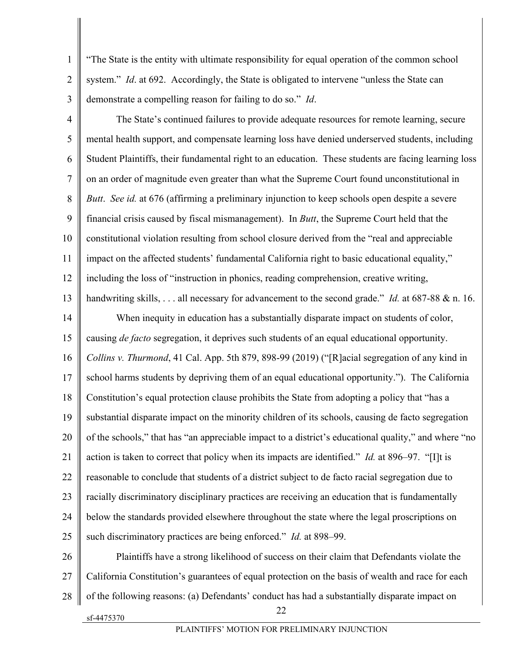"The State is the entity with ultimate responsibility for equal operation of the common school system." *Id.* at 692. Accordingly, the State is obligated to intervene "unless the State can demonstrate a compelling reason for failing to do so." *Id*.

1

 $\overline{2}$ 

3

4 5 6 7 8 9 10 11 12 13 14 15 16 17 18 19 20 21 22 23 24 25 The State's continued failures to provide adequate resources for remote learning, secure mental health support, and compensate learning loss have denied underserved students, including Student Plaintiffs, their fundamental right to an education. These students are facing learning loss on an order of magnitude even greater than what the Supreme Court found unconstitutional in *Butt*. *See id.* at 676 (affirming a preliminary injunction to keep schools open despite a severe financial crisis caused by fiscal mismanagement). In *Butt*, the Supreme Court held that the constitutional violation resulting from school closure derived from the "real and appreciable impact on the affected students' fundamental California right to basic educational equality," including the loss of "instruction in phonics, reading comprehension, creative writing, handwriting skills, . . . all necessary for advancement to the second grade." *Id.* at 687-88 & n. 16. When inequity in education has a substantially disparate impact on students of color, causing *de facto* segregation, it deprives such students of an equal educational opportunity. *Collins v. Thurmond*, 41 Cal. App. 5th 879, 898-99 (2019) ("[R]acial segregation of any kind in school harms students by depriving them of an equal educational opportunity."). The California Constitution's equal protection clause prohibits the State from adopting a policy that "has a substantial disparate impact on the minority children of its schools, causing de facto segregation of the schools," that has "an appreciable impact to a district's educational quality," and where "no action is taken to correct that policy when its impacts are identified." *Id.* at 896–97. "[I]t is reasonable to conclude that students of a district subject to de facto racial segregation due to racially discriminatory disciplinary practices are receiving an education that is fundamentally below the standards provided elsewhere throughout the state where the legal proscriptions on such discriminatory practices are being enforced." *Id.* at 898–99.

sf-4475370 22 26 27 28 Plaintiffs have a strong likelihood of success on their claim that Defendants violate the California Constitution's guarantees of equal protection on the basis of wealth and race for each of the following reasons: (a) Defendants' conduct has had a substantially disparate impact on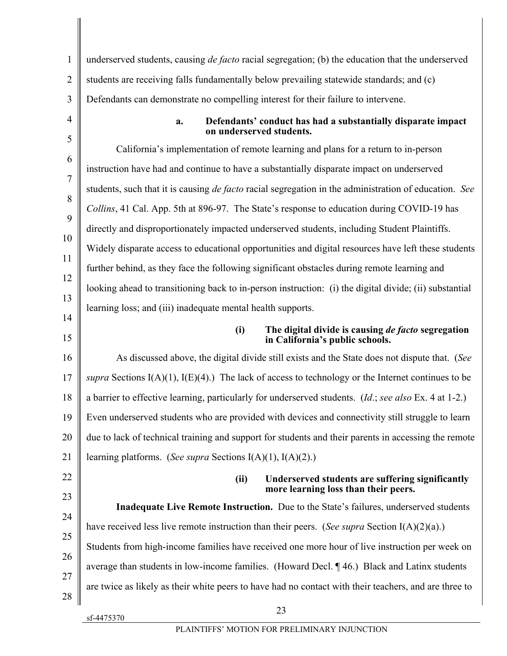| 1              | underserved students, causing <i>de facto</i> racial segregation; (b) the education that the underserved                      |
|----------------|-------------------------------------------------------------------------------------------------------------------------------|
| $\overline{2}$ | students are receiving falls fundamentally below prevailing statewide standards; and (c)                                      |
| 3              | Defendants can demonstrate no compelling interest for their failure to intervene.                                             |
| $\overline{4}$ | Defendants' conduct has had a substantially disparate impact<br>a.<br>on underserved students.                                |
| 5              | California's implementation of remote learning and plans for a return to in-person                                            |
| 6              | instruction have had and continue to have a substantially disparate impact on underserved                                     |
| 7              | students, such that it is causing <i>de facto</i> racial segregation in the administration of education. See                  |
| 8              | Collins, 41 Cal. App. 5th at 896-97. The State's response to education during COVID-19 has                                    |
| 9              | directly and disproportionately impacted underserved students, including Student Plaintiffs.                                  |
| 10             | Widely disparate access to educational opportunities and digital resources have left these students                           |
| 11             | further behind, as they face the following significant obstacles during remote learning and                                   |
| 12             | looking ahead to transitioning back to in-person instruction: (i) the digital divide; (ii) substantial                        |
| 13             | learning loss; and (iii) inadequate mental health supports.                                                                   |
| 14<br>15       | The digital divide is causing <i>de facto</i> segregation<br>(i)<br>in California's public schools.                           |
| 16             | As discussed above, the digital divide still exists and the State does not dispute that. (See                                 |
| 17             | supra Sections I(A)(1), I(E)(4).) The lack of access to technology or the Internet continues to be                            |
| 18             | a barrier to effective learning, particularly for underserved students. (Id.; see also Ex. 4 at 1-2.)                         |
| 19             | Even underserved students who are provided with devices and connectivity still struggle to learn                              |
| 20             | due to lack of technical training and support for students and their parents in accessing the remote                          |
| 21             | learning platforms. (See supra Sections I(A)(1), I(A)(2).)                                                                    |
| 22             | (ii)<br>Underserved students are suffering significantly                                                                      |
| 23             | more learning loss than their peers.<br>Inadequate Live Remote Instruction. Due to the State's failures, underserved students |
| 24             |                                                                                                                               |
| 25             | have received less live remote instruction than their peers. (See supra Section I(A)(2)(a).)                                  |
| 26             | Students from high-income families have received one more hour of live instruction per week on                                |
| 27             | average than students in low-income families. (Howard Decl. ¶46.) Black and Latinx students                                   |
| 28             | are twice as likely as their white peers to have had no contact with their teachers, and are three to                         |
|                | 23                                                                                                                            |

sf-4475370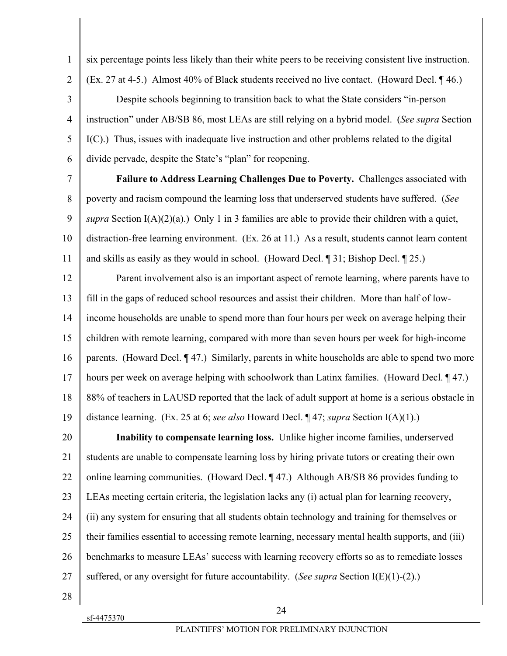1

6 7

8

9

10

11

**Failure to Address Learning Challenges Due to Poverty.** Challenges associated with poverty and racism compound the learning loss that underserved students have suffered. (*See supra* Section I(A)(2)(a).) Only 1 in 3 families are able to provide their children with a quiet, distraction-free learning environment. (Ex. 26 at 11.) As a result, students cannot learn content and skills as easily as they would in school. (Howard Decl. ¶ 31; Bishop Decl. ¶ 25.)

six percentage points less likely than their white peers to be receiving consistent live instruction.

(Ex. 27 at 4-5.) Almost 40% of Black students received no live contact. (Howard Decl. ¶ 46.)

Despite schools beginning to transition back to what the State considers "in-person

instruction" under AB/SB 86, most LEAs are still relying on a hybrid model. (*See supra* Section

I(C).) Thus, issues with inadequate live instruction and other problems related to the digital

divide pervade, despite the State's "plan" for reopening.

12 13 14 15 16 17 18 19 Parent involvement also is an important aspect of remote learning, where parents have to fill in the gaps of reduced school resources and assist their children. More than half of lowincome households are unable to spend more than four hours per week on average helping their children with remote learning, compared with more than seven hours per week for high-income parents. (Howard Decl. ¶ 47.) Similarly, parents in white households are able to spend two more hours per week on average helping with schoolwork than Latinx families. (Howard Decl. 147.) 88% of teachers in LAUSD reported that the lack of adult support at home is a serious obstacle in distance learning. (Ex. 25 at 6; *see also* Howard Decl. ¶ 47; *supra* Section I(A)(1).)

20 21 22 23 24 25 26 27 **Inability to compensate learning loss.** Unlike higher income families, underserved students are unable to compensate learning loss by hiring private tutors or creating their own online learning communities. (Howard Decl. ¶ 47.) Although AB/SB 86 provides funding to LEAs meeting certain criteria, the legislation lacks any (i) actual plan for learning recovery, (ii) any system for ensuring that all students obtain technology and training for themselves or their families essential to accessing remote learning, necessary mental health supports, and (iii) benchmarks to measure LEAs' success with learning recovery efforts so as to remediate losses suffered, or any oversight for future accountability. (*See supra* Section I(E)(1)-(2).)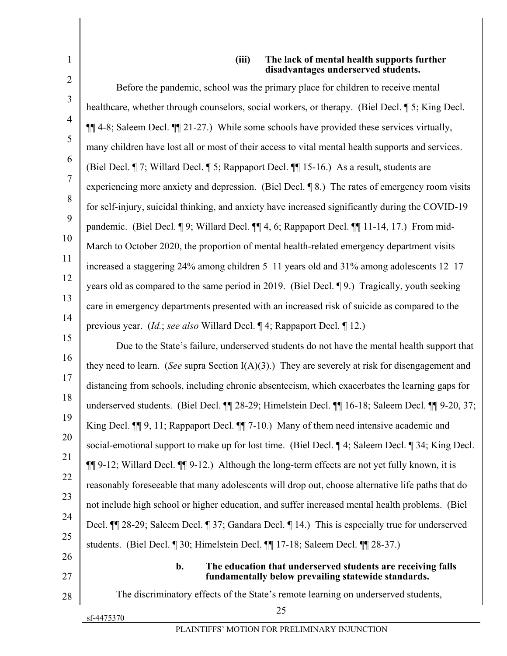#### **(iii) The lack of mental health supports further disadvantages underserved students.**

|                | uisau vaniages unuel sel veu stuuents                                                                   |
|----------------|---------------------------------------------------------------------------------------------------------|
| $\overline{2}$ | Before the pandemic, school was the primary place for children to receive mental                        |
| 3              | healthcare, whether through counselors, social workers, or therapy. (Biel Decl. 15; King Decl.          |
| $\overline{4}$ | ¶[14-8; Saleem Decl. ¶[21-27.) While some schools have provided these services virtually,               |
| 5              | many children have lost all or most of their access to vital mental health supports and services.       |
| 6              | (Biel Decl. ¶ 7; Willard Decl. ¶ 5; Rappaport Decl. ¶¶ 15-16.) As a result, students are                |
| 7              | experiencing more anxiety and depression. (Biel Decl. $\P$ 8.) The rates of emergency room visits       |
| 8              | for self-injury, suicidal thinking, and anxiety have increased significantly during the COVID-19        |
| 9              | pandemic. (Biel Decl. ¶ 9; Willard Decl. ¶[4, 6; Rappaport Decl. ¶[11-14, 17.) From mid-                |
| 10             | March to October 2020, the proportion of mental health-related emergency department visits              |
| 11             | increased a staggering 24% among children 5-11 years old and 31% among adolescents 12-17                |
| 12             | years old as compared to the same period in 2019. (Biel Decl. 19.) Tragically, youth seeking            |
| 13             | care in emergency departments presented with an increased risk of suicide as compared to the            |
| 14             | previous year. (Id.; see also Willard Decl. ¶ 4; Rappaport Decl. ¶ 12.)                                 |
| 15             | Due to the State's failure, underserved students do not have the mental health support that             |
| 16             | they need to learn. (See supra Section $I(A)(3)$ .) They are severely at risk for disengagement and     |
| 17             | distancing from schools, including chronic absenteeism, which exacerbates the learning gaps for         |
| 18             | underserved students. (Biel Decl. ¶¶ 28-29; Himelstein Decl. ¶¶ 16-18; Saleem Decl. ¶¶ 9-20, 37;        |
| 19             | King Decl. $\P$ 9, 11; Rappaport Decl. $\P$ 7-10.) Many of them need intensive academic and             |
| 20             | social-emotional support to make up for lost time. (Biel Decl. ¶ 4; Saleem Decl. ¶ 34; King Decl.       |
| 21             | 11 9-12; Willard Decl. 11 9-12.) Although the long-term effects are not yet fully known, it is          |
| 22             | reasonably foreseeable that many adolescents will drop out, choose alternative life paths that do       |
| 23             | not include high school or higher education, and suffer increased mental health problems. (Biel         |
| 24             | Decl. $\P$ 28-29; Saleem Decl. $\P$ 37; Gandara Decl. $\P$ 14.) This is especially true for underserved |
| 25             | students. (Biel Decl. ¶ 30; Himelstein Decl. ¶ 17-18; Saleem Decl. ¶ 28-37.)                            |
| 26             | b.<br>The education that underserved students are receiving falls                                       |
| 27             | fundamentally below prevailing statewide standards.                                                     |
| 28             | The discriminatory effects of the State's remote learning on underserved students,<br>25                |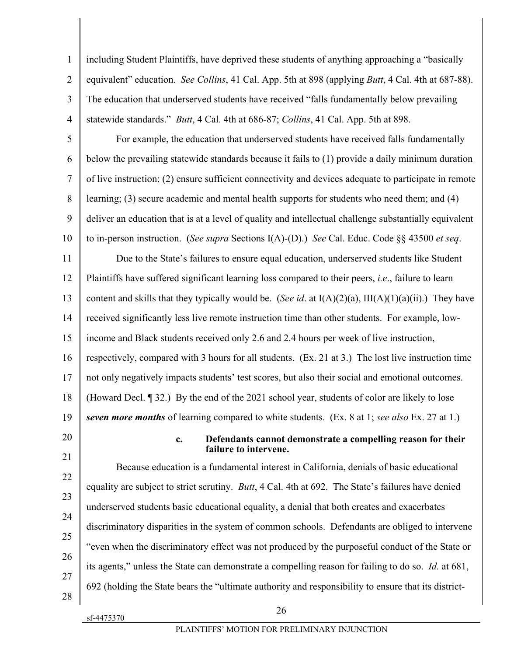1  $\overline{2}$ 3 4 including Student Plaintiffs, have deprived these students of anything approaching a "basically equivalent" education. *See Collins*, 41 Cal. App. 5th at 898 (applying *Butt*, 4 Cal. 4th at 687-88). The education that underserved students have received "falls fundamentally below prevailing statewide standards." *Butt*, 4 Cal. 4th at 686-87; *Collins*, 41 Cal. App. 5th at 898.

5 6 7 8 9 10 For example, the education that underserved students have received falls fundamentally below the prevailing statewide standards because it fails to (1) provide a daily minimum duration of live instruction; (2) ensure sufficient connectivity and devices adequate to participate in remote learning; (3) secure academic and mental health supports for students who need them; and (4) deliver an education that is at a level of quality and intellectual challenge substantially equivalent to in-person instruction. (*See supra* Sections I(A)-(D).) *See* Cal. Educ. Code §§ 43500 *et seq*.

11 12 13 14 15 16 17 18 19 Due to the State's failures to ensure equal education, underserved students like Student Plaintiffs have suffered significant learning loss compared to their peers, *i.e*., failure to learn content and skills that they typically would be. (*See id.* at  $I(A)(2)(a)$ ,  $III(A)(1)(a)(ii)$ .) They have received significantly less live remote instruction time than other students. For example, lowincome and Black students received only 2.6 and 2.4 hours per week of live instruction, respectively, compared with 3 hours for all students. (Ex. 21 at 3.) The lost live instruction time not only negatively impacts students' test scores, but also their social and emotional outcomes. (Howard Decl. ¶ 32.) By the end of the 2021 school year, students of color are likely to lose *seven more months* of learning compared to white students. (Ex. 8 at 1; *see also* Ex. 27 at 1.)

20 21

## **c. Defendants cannot demonstrate a compelling reason for their failure to intervene.**

22 23 24 25 26 27 28 Because education is a fundamental interest in California, denials of basic educational equality are subject to strict scrutiny. *Butt*, 4 Cal. 4th at 692. The State's failures have denied underserved students basic educational equality, a denial that both creates and exacerbates discriminatory disparities in the system of common schools. Defendants are obliged to intervene "even when the discriminatory effect was not produced by the purposeful conduct of the State or its agents," unless the State can demonstrate a compelling reason for failing to do so. *Id.* at 681, 692 (holding the State bears the "ultimate authority and responsibility to ensure that its district-

sf-4475370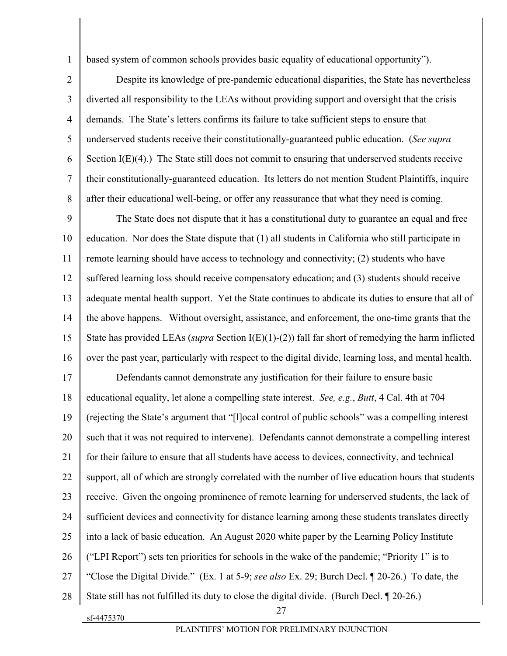based system of common schools provides basic equality of educational opportunity").

4 Despite its knowledge of pre-pandemic educational disparities, the State has nevertheless diverted all responsibility to the LEAs without providing support and oversight that the crisis demands. The State's letters confirms its failure to take sufficient steps to ensure that underserved students receive their constitutionally-guaranteed public education. (*See supra* Section I(E)(4).) The State still does not commit to ensuring that underserved students receive their constitutionally-guaranteed education. Its letters do not mention Student Plaintiffs, inquire after their educational well-being, or offer any reassurance that what they need is coming.

9 10 11 12 13 14 15 16 The State does not dispute that it has a constitutional duty to guarantee an equal and free education. Nor does the State dispute that (1) all students in California who still participate in remote learning should have access to technology and connectivity; (2) students who have suffered learning loss should receive compensatory education; and (3) students should receive adequate mental health support. Yet the State continues to abdicate its duties to ensure that all of the above happens. Without oversight, assistance, and enforcement, the one-time grants that the State has provided LEAs (*supra* Section I(E)(1)-(2)) fall far short of remedying the harm inflicted over the past year, particularly with respect to the digital divide, learning loss, and mental health.

27 17 18 19 20 21 22 23 24 25 26 27 28 Defendants cannot demonstrate any justification for their failure to ensure basic educational equality, let alone a compelling state interest. *See, e.g.*, *Butt*, 4 Cal. 4th at 704 (rejecting the State's argument that "[l]ocal control of public schools" was a compelling interest such that it was not required to intervene). Defendants cannot demonstrate a compelling interest for their failure to ensure that all students have access to devices, connectivity, and technical support, all of which are strongly correlated with the number of live education hours that students receive. Given the ongoing prominence of remote learning for underserved students, the lack of sufficient devices and connectivity for distance learning among these students translates directly into a lack of basic education. An August 2020 white paper by the Learning Policy Institute ("LPI Report") sets ten priorities for schools in the wake of the pandemic; "Priority 1" is to "Close the Digital Divide." (Ex. 1 at 5-9; *see also* Ex. 29; Burch Decl. ¶ 20-26.) To date, the State still has not fulfilled its duty to close the digital divide. (Burch Decl. ¶ 20-26.)

sf-4475370

1

2

3

5

6

7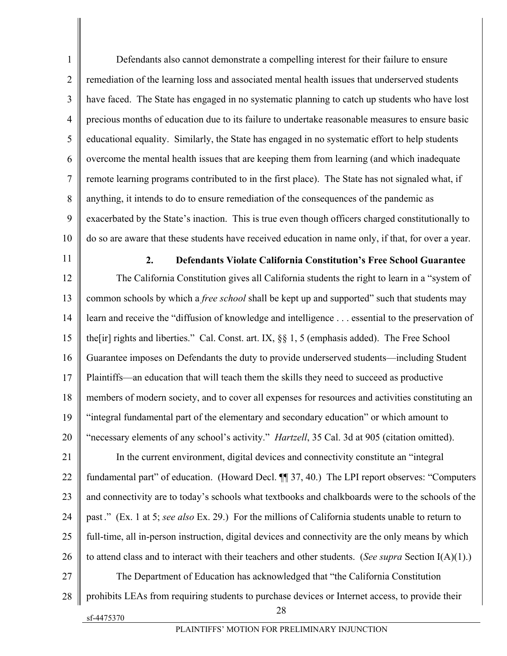1  $\overline{2}$ 3 4 5 6 7 8 9 10 Defendants also cannot demonstrate a compelling interest for their failure to ensure remediation of the learning loss and associated mental health issues that underserved students have faced. The State has engaged in no systematic planning to catch up students who have lost precious months of education due to its failure to undertake reasonable measures to ensure basic educational equality. Similarly, the State has engaged in no systematic effort to help students overcome the mental health issues that are keeping them from learning (and which inadequate remote learning programs contributed to in the first place). The State has not signaled what, if anything, it intends to do to ensure remediation of the consequences of the pandemic as exacerbated by the State's inaction. This is true even though officers charged constitutionally to do so are aware that these students have received education in name only, if that, for over a year.

11

#### **2. Defendants Violate California Constitution's Free School Guarantee**

12 13 14 15 16 17 18 19 20 The California Constitution gives all California students the right to learn in a "system of common schools by which a *free school* shall be kept up and supported" such that students may learn and receive the "diffusion of knowledge and intelligence . . . essential to the preservation of the[ir] rights and liberties." Cal. Const. art. IX, §§ 1, 5 (emphasis added). The Free School Guarantee imposes on Defendants the duty to provide underserved students—including Student Plaintiffs—an education that will teach them the skills they need to succeed as productive members of modern society, and to cover all expenses for resources and activities constituting an "integral fundamental part of the elementary and secondary education" or which amount to "necessary elements of any school's activity." *Hartzell*, 35 Cal. 3d at 905 (citation omitted).

21 22 23 24 25 26 27 28 In the current environment, digital devices and connectivity constitute an "integral fundamental part" of education. (Howard Decl. ¶¶ 37, 40.) The LPI report observes: "Computers and connectivity are to today's schools what textbooks and chalkboards were to the schools of the past ." (Ex. 1 at 5; *see also* Ex. 29.) For the millions of California students unable to return to full-time, all in-person instruction, digital devices and connectivity are the only means by which to attend class and to interact with their teachers and other students. (*See supra* Section I(A)(1).) The Department of Education has acknowledged that "the California Constitution prohibits LEAs from requiring students to purchase devices or Internet access, to provide their

sf-4475370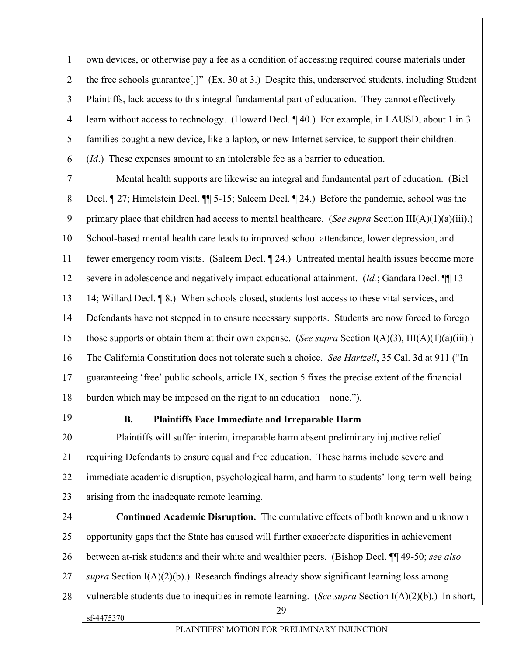1  $\overline{2}$ 3 4 5 6 own devices, or otherwise pay a fee as a condition of accessing required course materials under the free schools guarantee[.]" (Ex. 30 at 3.) Despite this, underserved students, including Student Plaintiffs, lack access to this integral fundamental part of education. They cannot effectively learn without access to technology. (Howard Decl. ¶ 40.) For example, in LAUSD, about 1 in 3 families bought a new device, like a laptop, or new Internet service, to support their children.

(*Id*.) These expenses amount to an intolerable fee as a barrier to education.

7 8 9 10 11 12 13 14 15 16 17 18 Mental health supports are likewise an integral and fundamental part of education. (Biel Decl. ¶ 27; Himelstein Decl. ¶¶ 5-15; Saleem Decl. ¶ 24.) Before the pandemic, school was the primary place that children had access to mental healthcare. (*See supra* Section III(A)(1)(a)(iii).) School-based mental health care leads to improved school attendance, lower depression, and fewer emergency room visits. (Saleem Decl. ¶ 24.) Untreated mental health issues become more severe in adolescence and negatively impact educational attainment. (*Id.*; Gandara Decl. ¶¶ 13- 14; Willard Decl. ¶ 8.) When schools closed, students lost access to these vital services, and Defendants have not stepped in to ensure necessary supports. Students are now forced to forego those supports or obtain them at their own expense. (*See supra* Section I(A)(3), III(A)(1)(a)(iii).) The California Constitution does not tolerate such a choice. *See Hartzell*, 35 Cal. 3d at 911 ("In guaranteeing 'free' public schools, article IX, section 5 fixes the precise extent of the financial burden which may be imposed on the right to an education—none.").

19

### **B. Plaintiffs Face Immediate and Irreparable Harm**

20 21 22 23 Plaintiffs will suffer interim, irreparable harm absent preliminary injunctive relief requiring Defendants to ensure equal and free education. These harms include severe and immediate academic disruption, psychological harm, and harm to students' long-term well-being arising from the inadequate remote learning.

sf-4475370 29 24 25 26 27 28 **Continued Academic Disruption.** The cumulative effects of both known and unknown opportunity gaps that the State has caused will further exacerbate disparities in achievement between at-risk students and their white and wealthier peers. (Bishop Decl. ¶¶ 49-50; *see also supra* Section I(A)(2)(b).) Research findings already show significant learning loss among vulnerable students due to inequities in remote learning. (*See supra* Section I(A)(2)(b).) In short,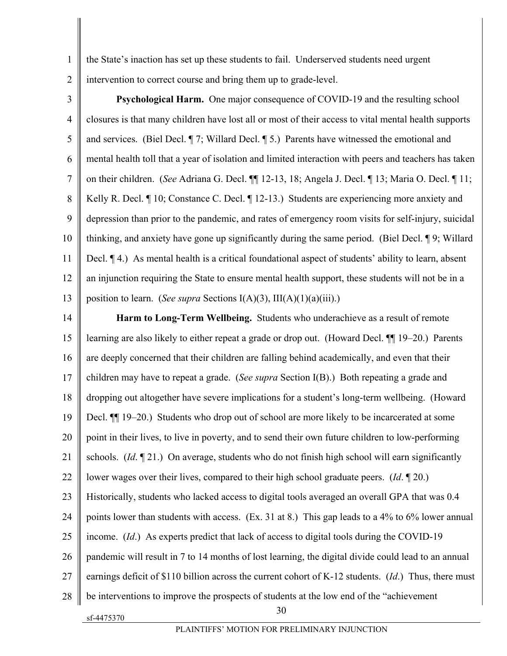the State's inaction has set up these students to fail. Underserved students need urgent intervention to correct course and bring them up to grade-level.

3 4 5 6 7 8 9 10 11 12 13 **Psychological Harm.** One major consequence of COVID-19 and the resulting school closures is that many children have lost all or most of their access to vital mental health supports and services. (Biel Decl. ¶ 7; Willard Decl. ¶ 5.) Parents have witnessed the emotional and mental health toll that a year of isolation and limited interaction with peers and teachers has taken on their children. (*See* Adriana G. Decl. ¶¶ 12-13, 18; Angela J. Decl. ¶ 13; Maria O. Decl. ¶ 11; Kelly R. Decl. ¶ 10; Constance C. Decl. ¶ 12-13.) Students are experiencing more anxiety and depression than prior to the pandemic, and rates of emergency room visits for self-injury, suicidal thinking, and anxiety have gone up significantly during the same period. (Biel Decl. ¶ 9; Willard Decl. ¶ 4.) As mental health is a critical foundational aspect of students' ability to learn, absent an injunction requiring the State to ensure mental health support, these students will not be in a position to learn. (*See supra* Sections I(A)(3), III(A)(1)(a)(iii).)

sf-4475370 30 14 15 16 17 18 19 20 21 22 23 24 25 26 27 28 **Harm to Long-Term Wellbeing.** Students who underachieve as a result of remote learning are also likely to either repeat a grade or drop out. (Howard Decl. ¶¶ 19–20.) Parents are deeply concerned that their children are falling behind academically, and even that their children may have to repeat a grade. (*See supra* Section I(B).) Both repeating a grade and dropping out altogether have severe implications for a student's long-term wellbeing. (Howard Decl. ¶¶ 19–20.) Students who drop out of school are more likely to be incarcerated at some point in their lives, to live in poverty, and to send their own future children to low-performing schools. (*Id*. ¶ 21.) On average, students who do not finish high school will earn significantly lower wages over their lives, compared to their high school graduate peers. (*Id*. ¶ 20.) Historically, students who lacked access to digital tools averaged an overall GPA that was 0.4 points lower than students with access. (Ex. 31 at 8.) This gap leads to a 4% to 6% lower annual income. (*Id*.) As experts predict that lack of access to digital tools during the COVID-19 pandemic will result in 7 to 14 months of lost learning, the digital divide could lead to an annual earnings deficit of \$110 billion across the current cohort of K-12 students. (*Id*.) Thus, there must be interventions to improve the prospects of students at the low end of the "achievement

1  $\mathfrak{D}$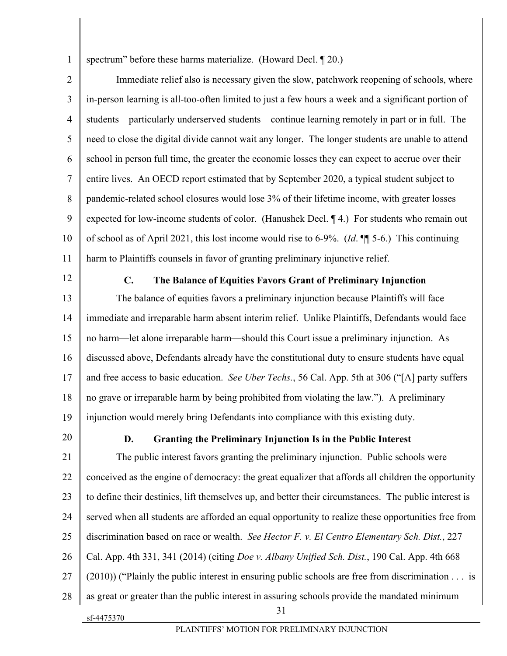spectrum" before these harms materialize. (Howard Decl. 1 20.)

2 3 4 5 6 7 8 9 10 11 Immediate relief also is necessary given the slow, patchwork reopening of schools, where in-person learning is all-too-often limited to just a few hours a week and a significant portion of students—particularly underserved students—continue learning remotely in part or in full. The need to close the digital divide cannot wait any longer. The longer students are unable to attend school in person full time, the greater the economic losses they can expect to accrue over their entire lives. An OECD report estimated that by September 2020, a typical student subject to pandemic-related school closures would lose 3% of their lifetime income, with greater losses expected for low-income students of color. (Hanushek Decl. ¶ 4.) For students who remain out of school as of April 2021, this lost income would rise to 6-9%. (*Id*. ¶¶ 5-6.) This continuing harm to Plaintiffs counsels in favor of granting preliminary injunctive relief.

12

1

#### **C. The Balance of Equities Favors Grant of Preliminary Injunction**

13 14 15 16 17 18 19 The balance of equities favors a preliminary injunction because Plaintiffs will face immediate and irreparable harm absent interim relief. Unlike Plaintiffs, Defendants would face no harm—let alone irreparable harm—should this Court issue a preliminary injunction. As discussed above, Defendants already have the constitutional duty to ensure students have equal and free access to basic education. *See Uber Techs.*, 56 Cal. App. 5th at 306 ("[A] party suffers no grave or irreparable harm by being prohibited from violating the law."). A preliminary injunction would merely bring Defendants into compliance with this existing duty.

20

sf-4475370

#### **D. Granting the Preliminary Injunction Is in the Public Interest**

31 21 22 23 24 25 26 27 28 The public interest favors granting the preliminary injunction. Public schools were conceived as the engine of democracy: the great equalizer that affords all children the opportunity to define their destinies, lift themselves up, and better their circumstances. The public interest is served when all students are afforded an equal opportunity to realize these opportunities free from discrimination based on race or wealth. *See Hector F. v. El Centro Elementary Sch. Dist.*, 227 Cal. App. 4th 331, 341 (2014) (citing *Doe v. Albany Unified Sch. Dist.*, 190 Cal. App. 4th 668 (2010)) ("Plainly the public interest in ensuring public schools are free from discrimination . . . is as great or greater than the public interest in assuring schools provide the mandated minimum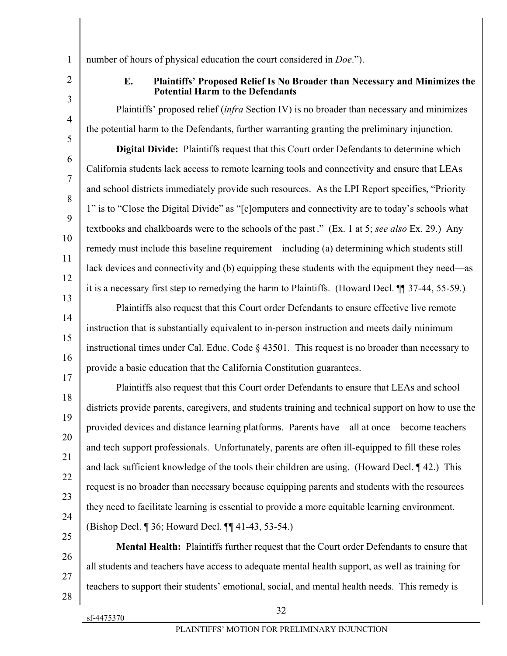1 2

3

4

5

6

7

8

9

10

11

12

13

14

15

16

17

25

## **E. Plaintiffs' Proposed Relief Is No Broader than Necessary and Minimizes the Potential Harm to the Defendants**

Plaintiffs' proposed relief (*infra* Section IV) is no broader than necessary and minimizes the potential harm to the Defendants, further warranting granting the preliminary injunction.

number of hours of physical education the court considered in *Doe*.").

**Digital Divide:** Plaintiffs request that this Court order Defendants to determine which California students lack access to remote learning tools and connectivity and ensure that LEAs and school districts immediately provide such resources. As the LPI Report specifies, "Priority 1" is to "Close the Digital Divide" as "[c]omputers and connectivity are to today's schools what textbooks and chalkboards were to the schools of the past ." (Ex. 1 at 5; *see also* Ex. 29.) Any remedy must include this baseline requirement—including (a) determining which students still lack devices and connectivity and (b) equipping these students with the equipment they need—as it is a necessary first step to remedying the harm to Plaintiffs. (Howard Decl. ¶¶ 37-44, 55-59.)

Plaintiffs also request that this Court order Defendants to ensure effective live remote instruction that is substantially equivalent to in-person instruction and meets daily minimum instructional times under Cal. Educ. Code § 43501. This request is no broader than necessary to provide a basic education that the California Constitution guarantees.

18 19 20 21 22 23 24 Plaintiffs also request that this Court order Defendants to ensure that LEAs and school districts provide parents, caregivers, and students training and technical support on how to use the provided devices and distance learning platforms. Parents have—all at once—become teachers and tech support professionals. Unfortunately, parents are often ill-equipped to fill these roles and lack sufficient knowledge of the tools their children are using. (Howard Decl. ¶ 42.) This request is no broader than necessary because equipping parents and students with the resources they need to facilitate learning is essential to provide a more equitable learning environment. (Bishop Decl. ¶ 36; Howard Decl. ¶¶ 41-43, 53-54.)

26 27 28 **Mental Health:** Plaintiffs further request that the Court order Defendants to ensure that all students and teachers have access to adequate mental health support, as well as training for teachers to support their students' emotional, social, and mental health needs. This remedy is

sf-4475370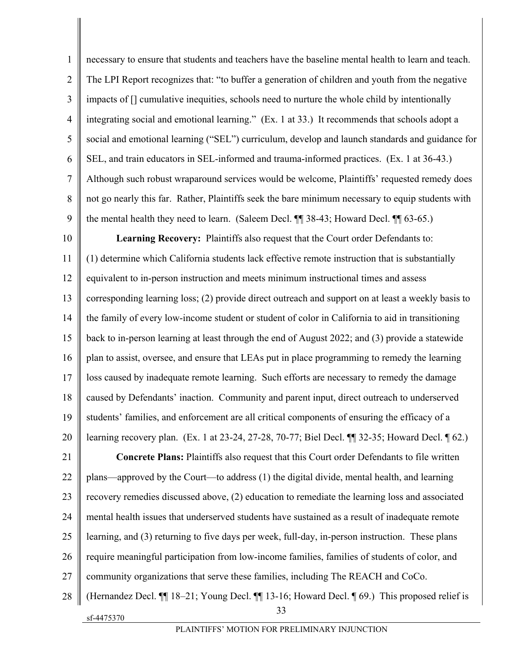1  $\overline{2}$ 3 4 5 6 7 8 9 necessary to ensure that students and teachers have the baseline mental health to learn and teach. The LPI Report recognizes that: "to buffer a generation of children and youth from the negative impacts of [] cumulative inequities, schools need to nurture the whole child by intentionally integrating social and emotional learning." (Ex. 1 at 33.) It recommends that schools adopt a social and emotional learning ("SEL") curriculum, develop and launch standards and guidance for SEL, and train educators in SEL-informed and trauma-informed practices. (Ex. 1 at 36-43.) Although such robust wraparound services would be welcome, Plaintiffs' requested remedy does not go nearly this far. Rather, Plaintiffs seek the bare minimum necessary to equip students with the mental health they need to learn. (Saleem Decl. ¶¶ 38-43; Howard Decl. ¶¶ 63-65.)

10 11 12 13 14 15 16 17 18 19 20 **Learning Recovery:** Plaintiffs also request that the Court order Defendants to: (1) determine which California students lack effective remote instruction that is substantially equivalent to in-person instruction and meets minimum instructional times and assess corresponding learning loss; (2) provide direct outreach and support on at least a weekly basis to the family of every low-income student or student of color in California to aid in transitioning back to in-person learning at least through the end of August 2022; and (3) provide a statewide plan to assist, oversee, and ensure that LEAs put in place programming to remedy the learning loss caused by inadequate remote learning. Such efforts are necessary to remedy the damage caused by Defendants' inaction. Community and parent input, direct outreach to underserved students' families, and enforcement are all critical components of ensuring the efficacy of a learning recovery plan. (Ex. 1 at 23-24, 27-28, 70-77; Biel Decl. ¶¶ 32-35; Howard Decl. ¶ 62.)

21 22 23 24 25 26 27 **Concrete Plans:** Plaintiffs also request that this Court order Defendants to file written plans—approved by the Court—to address (1) the digital divide, mental health, and learning recovery remedies discussed above, (2) education to remediate the learning loss and associated mental health issues that underserved students have sustained as a result of inadequate remote learning, and (3) returning to five days per week, full-day, in-person instruction. These plans require meaningful participation from low-income families, families of students of color, and community organizations that serve these families, including The REACH and CoCo.

sf-4475370 33 28 (Hernandez Decl. ¶¶ 18–21; Young Decl. ¶¶ 13-16; Howard Decl. ¶ 69.) This proposed relief is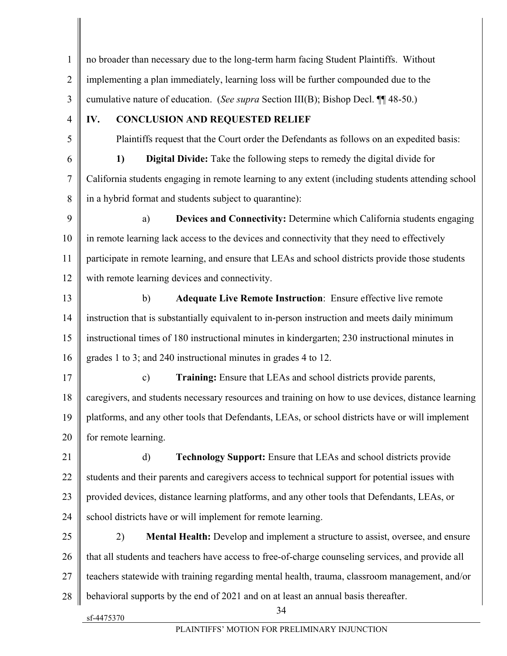sf-4475370 34 1  $\mathfrak{D}$ 3 4 5 6 7 8 9 10 11 12 13 14 15 16 17 18 19 20 21 22 23 24 25 26 27 28 no broader than necessary due to the long-term harm facing Student Plaintiffs. Without implementing a plan immediately, learning loss will be further compounded due to the cumulative nature of education. (*See supra* Section III(B); Bishop Decl. ¶¶ 48-50.) **IV. CONCLUSION AND REQUESTED RELIEF**  Plaintiffs request that the Court order the Defendants as follows on an expedited basis: **1) Digital Divide:** Take the following steps to remedy the digital divide for California students engaging in remote learning to any extent (including students attending school in a hybrid format and students subject to quarantine): a) **Devices and Connectivity:** Determine which California students engaging in remote learning lack access to the devices and connectivity that they need to effectively participate in remote learning, and ensure that LEAs and school districts provide those students with remote learning devices and connectivity. b) **Adequate Live Remote Instruction**: Ensure effective live remote instruction that is substantially equivalent to in-person instruction and meets daily minimum instructional times of 180 instructional minutes in kindergarten; 230 instructional minutes in grades 1 to 3; and 240 instructional minutes in grades 4 to 12. c) **Training:** Ensure that LEAs and school districts provide parents, caregivers, and students necessary resources and training on how to use devices, distance learning platforms, and any other tools that Defendants, LEAs, or school districts have or will implement for remote learning. d) **Technology Support:** Ensure that LEAs and school districts provide students and their parents and caregivers access to technical support for potential issues with provided devices, distance learning platforms, and any other tools that Defendants, LEAs, or school districts have or will implement for remote learning. 2) **Mental Health:** Develop and implement a structure to assist, oversee, and ensure that all students and teachers have access to free-of-charge counseling services, and provide all teachers statewide with training regarding mental health, trauma, classroom management, and/or behavioral supports by the end of 2021 and on at least an annual basis thereafter.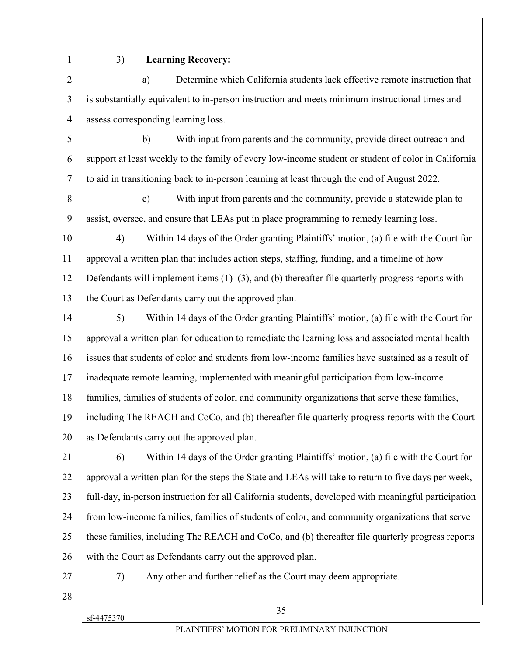## 3) **Learning Recovery:**

3 4 a) Determine which California students lack effective remote instruction that is substantially equivalent to in-person instruction and meets minimum instructional times and assess corresponding learning loss.

5 6 7 b) With input from parents and the community, provide direct outreach and support at least weekly to the family of every low-income student or student of color in California to aid in transitioning back to in-person learning at least through the end of August 2022.

8 9 c) With input from parents and the community, provide a statewide plan to assist, oversee, and ensure that LEAs put in place programming to remedy learning loss.

10 11 12 13 4) Within 14 days of the Order granting Plaintiffs' motion, (a) file with the Court for approval a written plan that includes action steps, staffing, funding, and a timeline of how Defendants will implement items  $(1)$ – $(3)$ , and  $(b)$  thereafter file quarterly progress reports with the Court as Defendants carry out the approved plan.

14 15 16 17 18 19 20 5) Within 14 days of the Order granting Plaintiffs' motion, (a) file with the Court for approval a written plan for education to remediate the learning loss and associated mental health issues that students of color and students from low-income families have sustained as a result of inadequate remote learning, implemented with meaningful participation from low-income families, families of students of color, and community organizations that serve these families, including The REACH and CoCo, and (b) thereafter file quarterly progress reports with the Court as Defendants carry out the approved plan.

21 22 23 24 25 26 6) Within 14 days of the Order granting Plaintiffs' motion, (a) file with the Court for approval a written plan for the steps the State and LEAs will take to return to five days per week, full-day, in-person instruction for all California students, developed with meaningful participation from low-income families, families of students of color, and community organizations that serve these families, including The REACH and CoCo, and (b) thereafter file quarterly progress reports with the Court as Defendants carry out the approved plan.

27

7) Any other and further relief as the Court may deem appropriate.